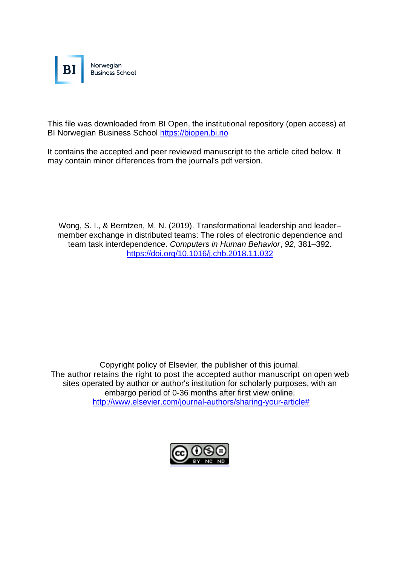

This file was downloaded from BI Open, the institutional repository (open access) at BI Norwegian Business School [https://biopen.bi.no](https://biopen.bi.no/)

It contains the accepted and peer reviewed manuscript to the article cited below. It may contain minor differences from the journal's pdf version.

Wong, S. I., & Berntzen, M. N. (2019). Transformational leadership and leadermember exchange in distributed teams: The roles of electronic dependence and team task interdependence. *Computers in Human Behavior*, *92*, 381–392. <https://doi.org/10.1016/j.chb.2018.11.032>

Copyright policy of Elsevier, the publisher of this journal. The author retains the right to post the accepted author manuscript on open web sites operated by author or author's institution for scholarly purposes, with an embargo period of 0-36 months after first view online. [http://www.elsevier.com/journal-authors/sharing-your-article#](http://www.elsevier.com/journal-authors/sharing-your-article)

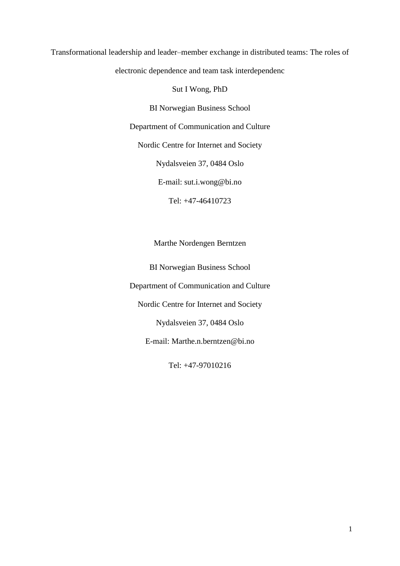Transformational leadership and leader–member exchange in distributed teams: The roles of

electronic dependence and team task interdependenc

Sut I Wong, PhD

BI Norwegian Business School

Department of Communication and Culture

Nordic Centre for Internet and Society

Nydalsveien 37, 0484 Oslo

E-mail: sut.i.wong@bi.no

Tel: +47-46410723

Marthe Nordengen Berntzen

BI Norwegian Business School

Department of Communication and Culture

Nordic Centre for Internet and Society

Nydalsveien 37, 0484 Oslo

E-mail: Marthe.n.berntzen@bi.no

Tel: +47-97010216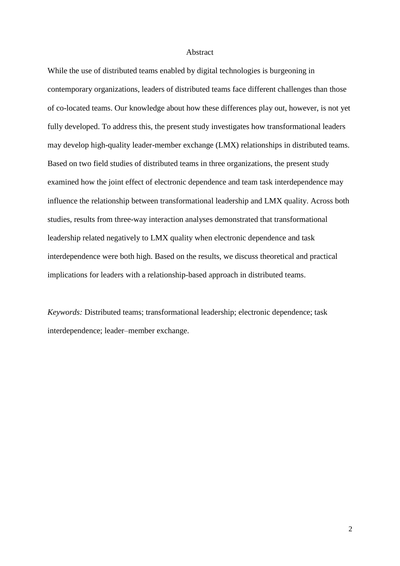#### Abstract

While the use of distributed teams enabled by digital technologies is burgeoning in contemporary organizations, leaders of distributed teams face different challenges than those of co-located teams. Our knowledge about how these differences play out, however, is not yet fully developed. To address this, the present study investigates how transformational leaders may develop high-quality leader-member exchange (LMX) relationships in distributed teams. Based on two field studies of distributed teams in three organizations, the present study examined how the joint effect of electronic dependence and team task interdependence may influence the relationship between transformational leadership and LMX quality. Across both studies, results from three-way interaction analyses demonstrated that transformational leadership related negatively to LMX quality when electronic dependence and task interdependence were both high. Based on the results, we discuss theoretical and practical implications for leaders with a relationship-based approach in distributed teams.

*Keywords:* Distributed teams; transformational leadership; electronic dependence; task interdependence; leader–member exchange.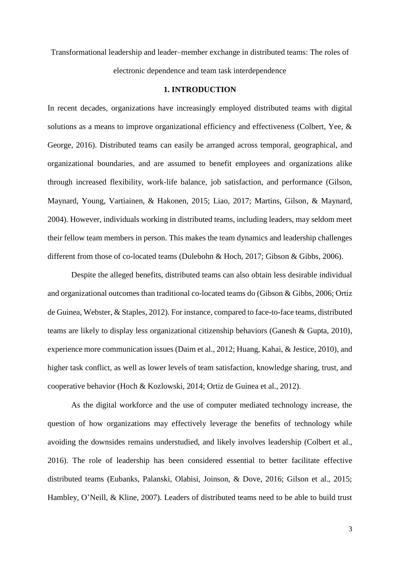Transformational leadership and leader–member exchange in distributed teams: The roles of electronic dependence and team task interdependence

#### **1. INTRODUCTION**

In recent decades, organizations have increasingly employed distributed teams with digital solutions as a means to improve organizational efficiency and effectiveness (Colbert, Yee, & George, 2016). Distributed teams can easily be arranged across temporal, geographical, and organizational boundaries, and are assumed to benefit employees and organizations alike through increased flexibility, work-life balance, job satisfaction, and performance (Gilson, Maynard, Young, Vartiainen, & Hakonen, 2015; Liao, 2017; Martins, Gilson, & Maynard, 2004). However, individuals working in distributed teams, including leaders, may seldom meet their fellow team members in person. This makes the team dynamics and leadership challenges different from those of co-located teams (Dulebohn & Hoch, 2017; Gibson & Gibbs, 2006).

Despite the alleged benefits, distributed teams can also obtain less desirable individual and organizational outcomes than traditional co-located teams do (Gibson & Gibbs, 2006; Ortiz de Guinea, Webster, & Staples, 2012). For instance, compared to face-to-face teams, distributed teams are likely to display less organizational citizenship behaviors (Ganesh & Gupta, 2010), experience more communication issues (Daim et al., 2012; Huang, Kahai, & Jestice, 2010), and higher task conflict, as well as lower levels of team satisfaction, knowledge sharing, trust, and cooperative behavior (Hoch & Kozlowski, 2014; Ortiz de Guinea et al., 2012).

As the digital workforce and the use of computer mediated technology increase, the question of how organizations may effectively leverage the benefits of technology while avoiding the downsides remains understudied, and likely involves leadership (Colbert et al., 2016). The role of leadership has been considered essential to better facilitate effective distributed teams (Eubanks, Palanski, Olabisi, Joinson, & Dove, 2016; Gilson et al., 2015; Hambley, O'Neill, & Kline, 2007). Leaders of distributed teams need to be able to build trust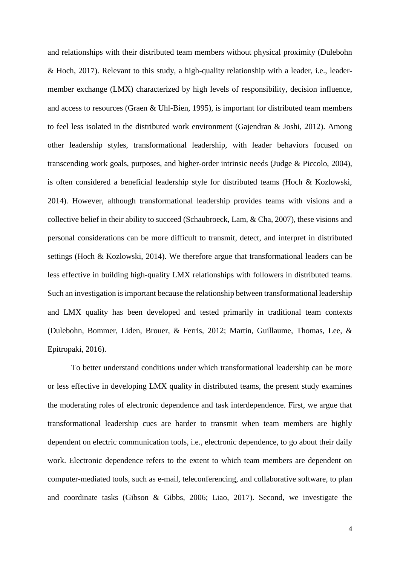and relationships with their distributed team members without physical proximity (Dulebohn & Hoch, 2017). Relevant to this study, a high-quality relationship with a leader, i.e., leadermember exchange (LMX) characterized by high levels of responsibility, decision influence, and access to resources (Graen & Uhl-Bien, 1995), is important for distributed team members to feel less isolated in the distributed work environment (Gajendran & Joshi, 2012). Among other leadership styles, transformational leadership, with leader behaviors focused on transcending work goals, purposes, and higher-order intrinsic needs (Judge & Piccolo, 2004), is often considered a beneficial leadership style for distributed teams (Hoch & Kozlowski, 2014). However, although transformational leadership provides teams with visions and a collective belief in their ability to succeed (Schaubroeck, Lam, & Cha, 2007), these visions and personal considerations can be more difficult to transmit, detect, and interpret in distributed settings (Hoch & Kozlowski, 2014). We therefore argue that transformational leaders can be less effective in building high-quality LMX relationships with followers in distributed teams. Such an investigation is important because the relationship between transformational leadership and LMX quality has been developed and tested primarily in traditional team contexts (Dulebohn, Bommer, Liden, Brouer, & Ferris, 2012; Martin, Guillaume, Thomas, Lee, & Epitropaki, 2016).

To better understand conditions under which transformational leadership can be more or less effective in developing LMX quality in distributed teams, the present study examines the moderating roles of electronic dependence and task interdependence. First, we argue that transformational leadership cues are harder to transmit when team members are highly dependent on electric communication tools, i.e., electronic dependence, to go about their daily work. Electronic dependence refers to the extent to which team members are dependent on computer-mediated tools, such as e-mail, teleconferencing, and collaborative software, to plan and coordinate tasks (Gibson & Gibbs, 2006; Liao, 2017). Second, we investigate the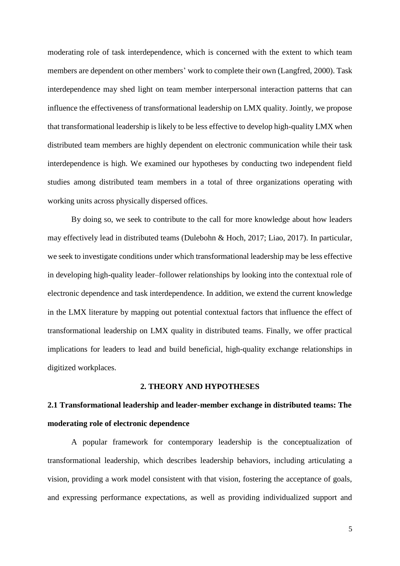moderating role of task interdependence, which is concerned with the extent to which team members are dependent on other members' work to complete their own (Langfred, 2000). Task interdependence may shed light on team member interpersonal interaction patterns that can influence the effectiveness of transformational leadership on LMX quality. Jointly, we propose that transformational leadership is likely to be less effective to develop high-quality LMX when distributed team members are highly dependent on electronic communication while their task interdependence is high. We examined our hypotheses by conducting two independent field studies among distributed team members in a total of three organizations operating with working units across physically dispersed offices.

By doing so, we seek to contribute to the call for more knowledge about how leaders may effectively lead in distributed teams (Dulebohn & Hoch, 2017; Liao, 2017). In particular, we seek to investigate conditions under which transformational leadership may be less effective in developing high-quality leader–follower relationships by looking into the contextual role of electronic dependence and task interdependence. In addition, we extend the current knowledge in the LMX literature by mapping out potential contextual factors that influence the effect of transformational leadership on LMX quality in distributed teams. Finally, we offer practical implications for leaders to lead and build beneficial, high-quality exchange relationships in digitized workplaces.

## **2. THEORY AND HYPOTHESES**

## **2.1 Transformational leadership and leader-member exchange in distributed teams: The moderating role of electronic dependence**

A popular framework for contemporary leadership is the conceptualization of transformational leadership, which describes leadership behaviors, including articulating a vision, providing a work model consistent with that vision, fostering the acceptance of goals, and expressing performance expectations, as well as providing individualized support and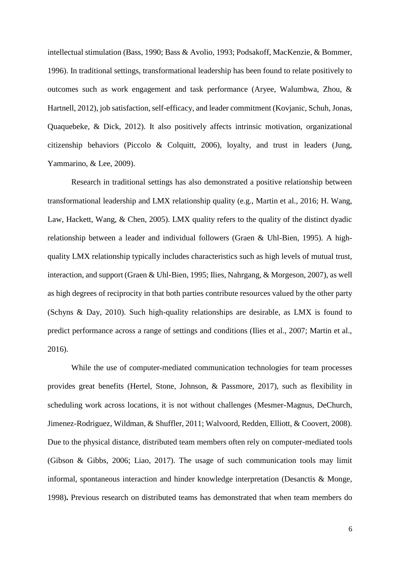intellectual stimulation (Bass, 1990; Bass & Avolio, 1993; Podsakoff, MacKenzie, & Bommer, 1996). In traditional settings, transformational leadership has been found to relate positively to outcomes such as work engagement and task performance (Aryee, Walumbwa, Zhou, & Hartnell, 2012), job satisfaction, self-efficacy, and leader commitment (Kovjanic, Schuh, Jonas, Quaquebeke, & Dick, 2012). It also positively affects intrinsic motivation, organizational citizenship behaviors (Piccolo & Colquitt, 2006), loyalty, and trust in leaders (Jung, Yammarino, & Lee, 2009).

Research in traditional settings has also demonstrated a positive relationship between transformational leadership and LMX relationship quality (e.g., Martin et al., 2016; H. Wang, Law, Hackett, Wang, & Chen, 2005). LMX quality refers to the quality of the distinct dyadic relationship between a leader and individual followers (Graen & Uhl-Bien, 1995). A highquality LMX relationship typically includes characteristics such as high levels of mutual trust, interaction, and support (Graen & Uhl-Bien, 1995; Ilies, Nahrgang, & Morgeson, 2007), as well as high degrees of reciprocity in that both parties contribute resources valued by the other party (Schyns & Day, 2010). Such high-quality relationships are desirable, as LMX is found to predict performance across a range of settings and conditions (Ilies et al., 2007; Martin et al., 2016).

While the use of computer-mediated communication technologies for team processes provides great benefits (Hertel, Stone, Johnson, & Passmore, 2017), such as flexibility in scheduling work across locations, it is not without challenges (Mesmer-Magnus, DeChurch, Jimenez-Rodriguez, Wildman, & Shuffler, 2011; Walvoord, Redden, Elliott, & Coovert, 2008). Due to the physical distance, distributed team members often rely on computer-mediated tools (Gibson & Gibbs, 2006; Liao, 2017). The usage of such communication tools may limit informal, spontaneous interaction and hinder knowledge interpretation (Desanctis & Monge, 1998)**.** Previous research on distributed teams has demonstrated that when team members do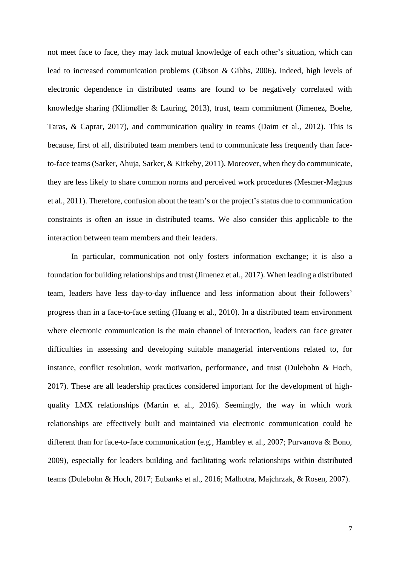not meet face to face, they may lack mutual knowledge of each other's situation, which can lead to increased communication problems (Gibson & Gibbs, 2006)**.** Indeed, high levels of electronic dependence in distributed teams are found to be negatively correlated with knowledge sharing (Klitmøller & Lauring, 2013), trust, team commitment (Jimenez, Boehe, Taras, & Caprar, 2017), and communication quality in teams (Daim et al., 2012). This is because, first of all, distributed team members tend to communicate less frequently than faceto-face teams (Sarker, Ahuja, Sarker, & Kirkeby, 2011). Moreover, when they do communicate, they are less likely to share common norms and perceived work procedures (Mesmer-Magnus et al., 2011). Therefore, confusion about the team's or the project's status due to communication constraints is often an issue in distributed teams. We also consider this applicable to the interaction between team members and their leaders.

In particular, communication not only fosters information exchange; it is also a foundation for building relationships and trust (Jimenez et al., 2017). When leading a distributed team, leaders have less day-to-day influence and less information about their followers' progress than in a face-to-face setting (Huang et al., 2010). In a distributed team environment where electronic communication is the main channel of interaction, leaders can face greater difficulties in assessing and developing suitable managerial interventions related to, for instance, conflict resolution, work motivation, performance, and trust (Dulebohn & Hoch, 2017). These are all leadership practices considered important for the development of highquality LMX relationships (Martin et al., 2016). Seemingly, the way in which work relationships are effectively built and maintained via electronic communication could be different than for face-to-face communication (e.g., Hambley et al., 2007; Purvanova & Bono, 2009), especially for leaders building and facilitating work relationships within distributed teams (Dulebohn & Hoch, 2017; Eubanks et al., 2016; Malhotra, Majchrzak, & Rosen, 2007).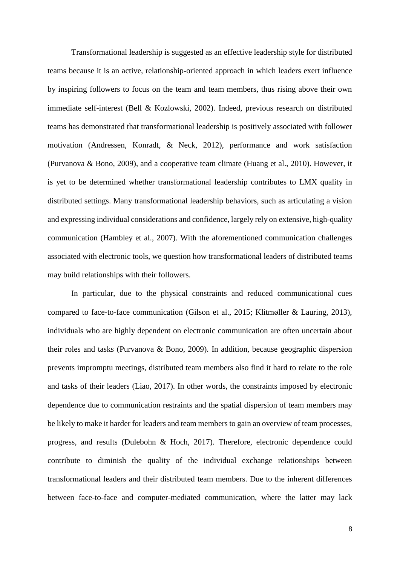Transformational leadership is suggested as an effective leadership style for distributed teams because it is an active, relationship-oriented approach in which leaders exert influence by inspiring followers to focus on the team and team members, thus rising above their own immediate self-interest (Bell & Kozlowski, 2002). Indeed, previous research on distributed teams has demonstrated that transformational leadership is positively associated with follower motivation (Andressen, Konradt, & Neck, 2012), performance and work satisfaction (Purvanova & Bono, 2009), and a cooperative team climate (Huang et al., 2010). However, it is yet to be determined whether transformational leadership contributes to LMX quality in distributed settings. Many transformational leadership behaviors, such as articulating a vision and expressing individual considerations and confidence, largely rely on extensive, high-quality communication (Hambley et al., 2007). With the aforementioned communication challenges associated with electronic tools, we question how transformational leaders of distributed teams may build relationships with their followers.

In particular, due to the physical constraints and reduced communicational cues compared to face-to-face communication (Gilson et al., 2015; Klitmøller & Lauring, 2013), individuals who are highly dependent on electronic communication are often uncertain about their roles and tasks (Purvanova & Bono, 2009). In addition, because geographic dispersion prevents impromptu meetings, distributed team members also find it hard to relate to the role and tasks of their leaders (Liao, 2017). In other words, the constraints imposed by electronic dependence due to communication restraints and the spatial dispersion of team members may be likely to make it harder for leaders and team members to gain an overview of team processes, progress, and results (Dulebohn & Hoch, 2017). Therefore, electronic dependence could contribute to diminish the quality of the individual exchange relationships between transformational leaders and their distributed team members. Due to the inherent differences between face-to-face and computer-mediated communication, where the latter may lack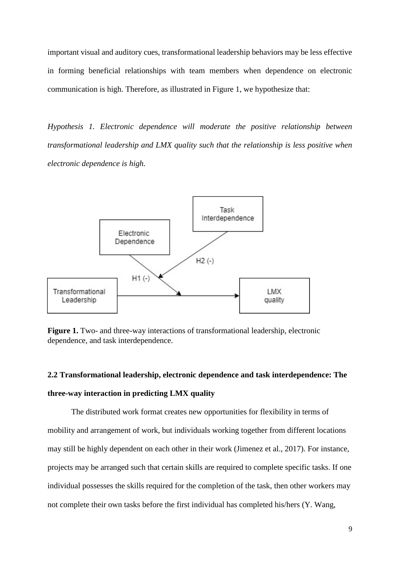important visual and auditory cues, transformational leadership behaviors may be less effective in forming beneficial relationships with team members when dependence on electronic communication is high. Therefore, as illustrated in Figure 1, we hypothesize that:

*Hypothesis 1. Electronic dependence will moderate the positive relationship between transformational leadership and LMX quality such that the relationship is less positive when electronic dependence is high.*



**Figure 1.** Two- and three-way interactions of transformational leadership, electronic dependence, and task interdependence.

# **2.2 Transformational leadership, electronic dependence and task interdependence: The three-way interaction in predicting LMX quality**

The distributed work format creates new opportunities for flexibility in terms of mobility and arrangement of work, but individuals working together from different locations may still be highly dependent on each other in their work (Jimenez et al., 2017). For instance, projects may be arranged such that certain skills are required to complete specific tasks. If one individual possesses the skills required for the completion of the task, then other workers may not complete their own tasks before the first individual has completed his/hers (Y. Wang,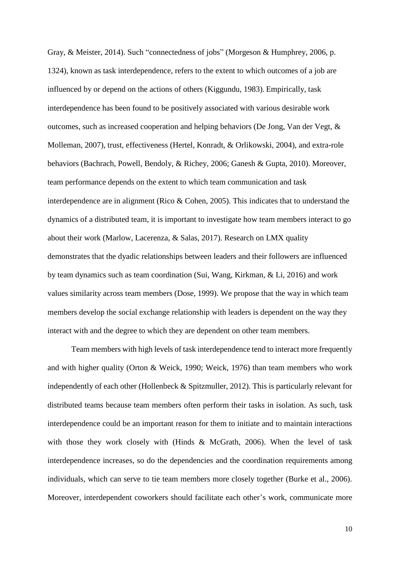Gray, & Meister, 2014). Such "connectedness of jobs" (Morgeson & Humphrey, 2006, p. 1324), known as task interdependence, refers to the extent to which outcomes of a job are influenced by or depend on the actions of others (Kiggundu, 1983). Empirically, task interdependence has been found to be positively associated with various desirable work outcomes, such as increased cooperation and helping behaviors (De Jong, Van der Vegt, & Molleman, 2007), trust, effectiveness (Hertel, Konradt, & Orlikowski, 2004), and extra-role behaviors (Bachrach, Powell, Bendoly, & Richey, 2006; Ganesh & Gupta, 2010). Moreover, team performance depends on the extent to which team communication and task interdependence are in alignment (Rico & Cohen, 2005). This indicates that to understand the dynamics of a distributed team, it is important to investigate how team members interact to go about their work (Marlow, Lacerenza, & Salas, 2017). Research on LMX quality demonstrates that the dyadic relationships between leaders and their followers are influenced by team dynamics such as team coordination (Sui, Wang, Kirkman, & Li, 2016) and work values similarity across team members (Dose, 1999). We propose that the way in which team members develop the social exchange relationship with leaders is dependent on the way they interact with and the degree to which they are dependent on other team members.

Team members with high levels of task interdependence tend to interact more frequently and with higher quality (Orton & Weick, 1990; Weick, 1976) than team members who work independently of each other (Hollenbeck & Spitzmuller, 2012). This is particularly relevant for distributed teams because team members often perform their tasks in isolation. As such, task interdependence could be an important reason for them to initiate and to maintain interactions with those they work closely with (Hinds & McGrath, 2006). When the level of task interdependence increases, so do the dependencies and the coordination requirements among individuals, which can serve to tie team members more closely together (Burke et al., 2006). Moreover, interdependent coworkers should facilitate each other's work, communicate more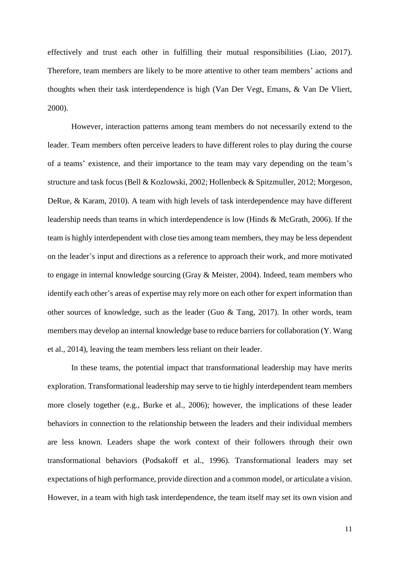effectively and trust each other in fulfilling their mutual responsibilities (Liao, 2017). Therefore, team members are likely to be more attentive to other team members' actions and thoughts when their task interdependence is high (Van Der Vegt, Emans, & Van De Vliert, 2000).

However, interaction patterns among team members do not necessarily extend to the leader. Team members often perceive leaders to have different roles to play during the course of a teams' existence, and their importance to the team may vary depending on the team's structure and task focus (Bell & Kozlowski, 2002; Hollenbeck & Spitzmuller, 2012; Morgeson, DeRue, & Karam, 2010). A team with high levels of task interdependence may have different leadership needs than teams in which interdependence is low (Hinds & McGrath, 2006). If the team is highly interdependent with close ties among team members, they may be less dependent on the leader's input and directions as a reference to approach their work, and more motivated to engage in internal knowledge sourcing (Gray & Meister, 2004). Indeed, team members who identify each other's areas of expertise may rely more on each other for expert information than other sources of knowledge, such as the leader (Guo & Tang, 2017). In other words, team members may develop an internal knowledge base to reduce barriers for collaboration (Y. Wang et al., 2014), leaving the team members less reliant on their leader.

In these teams, the potential impact that transformational leadership may have merits exploration. Transformational leadership may serve to tie highly interdependent team members more closely together (e.g., Burke et al., 2006); however, the implications of these leader behaviors in connection to the relationship between the leaders and their individual members are less known. Leaders shape the work context of their followers through their own transformational behaviors (Podsakoff et al., 1996). Transformational leaders may set expectations of high performance, provide direction and a common model, or articulate a vision. However, in a team with high task interdependence, the team itself may set its own vision and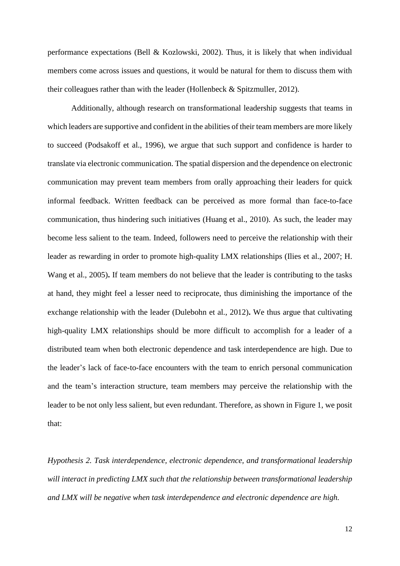performance expectations (Bell & Kozlowski, 2002). Thus, it is likely that when individual members come across issues and questions, it would be natural for them to discuss them with their colleagues rather than with the leader (Hollenbeck & Spitzmuller, 2012).

Additionally, although research on transformational leadership suggests that teams in which leaders are supportive and confident in the abilities of their team members are more likely to succeed (Podsakoff et al., 1996), we argue that such support and confidence is harder to translate via electronic communication. The spatial dispersion and the dependence on electronic communication may prevent team members from orally approaching their leaders for quick informal feedback. Written feedback can be perceived as more formal than face-to-face communication, thus hindering such initiatives (Huang et al., 2010). As such, the leader may become less salient to the team. Indeed, followers need to perceive the relationship with their leader as rewarding in order to promote high-quality LMX relationships (Ilies et al., 2007; H. Wang et al., 2005)**.** If team members do not believe that the leader is contributing to the tasks at hand, they might feel a lesser need to reciprocate, thus diminishing the importance of the exchange relationship with the leader (Dulebohn et al., 2012)**.** We thus argue that cultivating high-quality LMX relationships should be more difficult to accomplish for a leader of a distributed team when both electronic dependence and task interdependence are high. Due to the leader's lack of face-to-face encounters with the team to enrich personal communication and the team's interaction structure, team members may perceive the relationship with the leader to be not only less salient, but even redundant. Therefore, as shown in Figure 1, we posit that:

*Hypothesis 2. Task interdependence, electronic dependence, and transformational leadership will interact in predicting LMX such that the relationship between transformational leadership and LMX will be negative when task interdependence and electronic dependence are high.*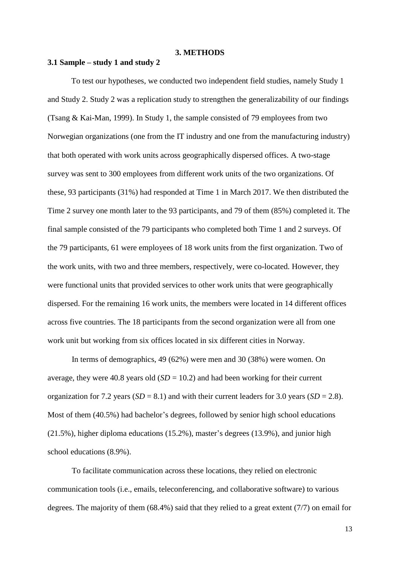#### **3. METHODS**

## **3.1 Sample – study 1 and study 2**

To test our hypotheses, we conducted two independent field studies, namely Study 1 and Study 2. Study 2 was a replication study to strengthen the generalizability of our findings (Tsang & Kai-Man, 1999). In Study 1, the sample consisted of 79 employees from two Norwegian organizations (one from the IT industry and one from the manufacturing industry) that both operated with work units across geographically dispersed offices. A two-stage survey was sent to 300 employees from different work units of the two organizations. Of these, 93 participants (31%) had responded at Time 1 in March 2017. We then distributed the Time 2 survey one month later to the 93 participants, and 79 of them (85%) completed it. The final sample consisted of the 79 participants who completed both Time 1 and 2 surveys. Of the 79 participants, 61 were employees of 18 work units from the first organization. Two of the work units, with two and three members, respectively, were co-located. However, they were functional units that provided services to other work units that were geographically dispersed. For the remaining 16 work units, the members were located in 14 different offices across five countries. The 18 participants from the second organization were all from one work unit but working from six offices located in six different cities in Norway.

In terms of demographics, 49 (62%) were men and 30 (38%) were women. On average, they were 40.8 years old  $(SD = 10.2)$  and had been working for their current organization for 7.2 years  $(SD = 8.1)$  and with their current leaders for 3.0 years  $(SD = 2.8)$ . Most of them (40.5%) had bachelor's degrees, followed by senior high school educations (21.5%), higher diploma educations (15.2%), master's degrees (13.9%), and junior high school educations (8.9%).

To facilitate communication across these locations, they relied on electronic communication tools (i.e., emails, teleconferencing, and collaborative software) to various degrees. The majority of them (68.4%) said that they relied to a great extent (7/7) on email for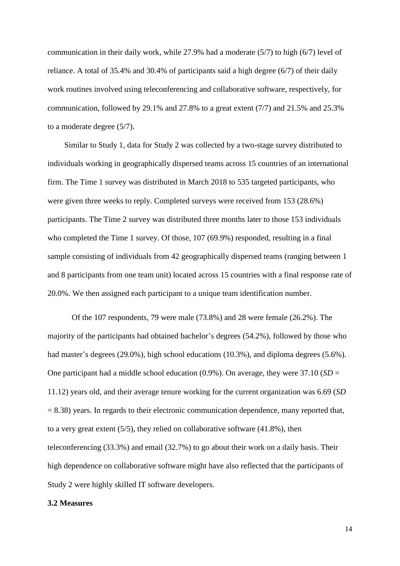communication in their daily work, while 27.9% had a moderate (5/7) to high (6/7) level of reliance. A total of 35.4% and 30.4% of participants said a high degree (6/7) of their daily work routines involved using teleconferencing and collaborative software, respectively, for communication, followed by 29.1% and 27.8% to a great extent (7/7) and 21.5% and 25.3% to a moderate degree (5/7).

Similar to Study 1, data for Study 2 was collected by a two-stage survey distributed to individuals working in geographically dispersed teams across 15 countries of an international firm. The Time 1 survey was distributed in March 2018 to 535 targeted participants, who were given three weeks to reply. Completed surveys were received from 153 (28.6%) participants. The Time 2 survey was distributed three months later to those 153 individuals who completed the Time 1 survey. Of those, 107 (69.9%) responded, resulting in a final sample consisting of individuals from 42 geographically dispersed teams (ranging between 1 and 8 participants from one team unit) located across 15 countries with a final response rate of 20.0%. We then assigned each participant to a unique team identification number.

Of the 107 respondents, 79 were male (73.8%) and 28 were female (26.2%). The majority of the participants had obtained bachelor's degrees (54.2%), followed by those who had master's degrees (29.0%), high school educations (10.3%), and diploma degrees (5.6%). One participant had a middle school education (0.9%). On average, they were 37.10 (*SD* = 11.12) years old, and their average tenure working for the current organization was 6.69 (*SD*  $= 8.38$ ) years. In regards to their electronic communication dependence, many reported that, to a very great extent (5/5), they relied on collaborative software (41.8%), then teleconferencing (33.3%) and email (32.7%) to go about their work on a daily basis. Their high dependence on collaborative software might have also reflected that the participants of Study 2 were highly skilled IT software developers.

## **3.2 Measures**

14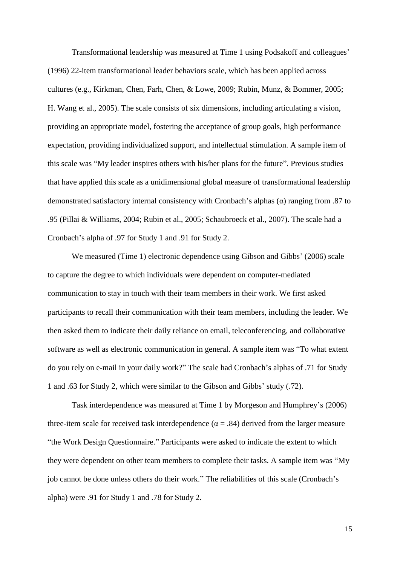Transformational leadership was measured at Time 1 using Podsakoff and colleagues' (1996) 22-item transformational leader behaviors scale, which has been applied across cultures (e.g., Kirkman, Chen, Farh, Chen, & Lowe, 2009; Rubin, Munz, & Bommer, 2005; H. Wang et al., 2005). The scale consists of six dimensions, including articulating a vision, providing an appropriate model, fostering the acceptance of group goals, high performance expectation, providing individualized support, and intellectual stimulation. A sample item of this scale was "My leader inspires others with his/her plans for the future". Previous studies that have applied this scale as a unidimensional global measure of transformational leadership demonstrated satisfactory internal consistency with Cronbach's alphas (α) ranging from .87 to .95 (Pillai & Williams, 2004; Rubin et al., 2005; Schaubroeck et al., 2007). The scale had a Cronbach's alpha of .97 for Study 1 and .91 for Study 2.

We measured (Time 1) electronic dependence using Gibson and Gibbs' (2006) scale to capture the degree to which individuals were dependent on computer-mediated communication to stay in touch with their team members in their work. We first asked participants to recall their communication with their team members, including the leader. We then asked them to indicate their daily reliance on email, teleconferencing, and collaborative software as well as electronic communication in general. A sample item was "To what extent do you rely on e-mail in your daily work?" The scale had Cronbach's alphas of .71 for Study 1 and .63 for Study 2, which were similar to the Gibson and Gibbs' study (.72).

Task interdependence was measured at Time 1 by Morgeson and Humphrey's (2006) three-item scale for received task interdependence ( $\alpha$  = .84) derived from the larger measure "the Work Design Questionnaire." Participants were asked to indicate the extent to which they were dependent on other team members to complete their tasks. A sample item was "My job cannot be done unless others do their work." The reliabilities of this scale (Cronbach's alpha) were .91 for Study 1 and .78 for Study 2.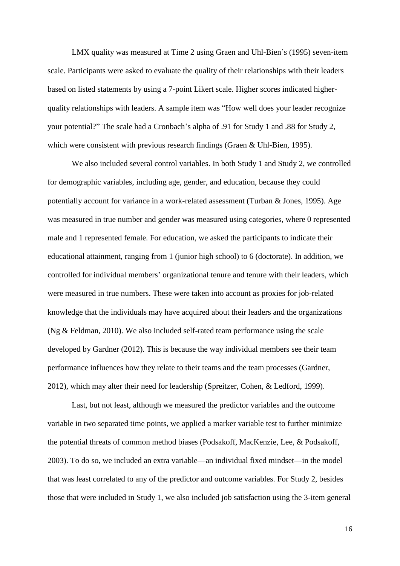LMX quality was measured at Time 2 using Graen and Uhl-Bien's (1995) seven-item scale. Participants were asked to evaluate the quality of their relationships with their leaders based on listed statements by using a 7-point Likert scale. Higher scores indicated higherquality relationships with leaders. A sample item was "How well does your leader recognize your potential?" The scale had a Cronbach's alpha of .91 for Study 1 and .88 for Study 2, which were consistent with previous research findings (Graen & Uhl-Bien, 1995).

We also included several control variables. In both Study 1 and Study 2, we controlled for demographic variables, including age, gender, and education, because they could potentially account for variance in a work-related assessment (Turban & Jones, 1995). Age was measured in true number and gender was measured using categories, where 0 represented male and 1 represented female. For education, we asked the participants to indicate their educational attainment, ranging from 1 (junior high school) to 6 (doctorate). In addition, we controlled for individual members' organizational tenure and tenure with their leaders, which were measured in true numbers. These were taken into account as proxies for job-related knowledge that the individuals may have acquired about their leaders and the organizations (Ng & Feldman, 2010). We also included self-rated team performance using the scale developed by Gardner (2012). This is because the way individual members see their team performance influences how they relate to their teams and the team processes (Gardner, 2012), which may alter their need for leadership (Spreitzer, Cohen, & Ledford, 1999).

Last, but not least, although we measured the predictor variables and the outcome variable in two separated time points, we applied a marker variable test to further minimize the potential threats of common method biases (Podsakoff, MacKenzie, Lee, & Podsakoff, 2003). To do so, we included an extra variable—an individual fixed mindset—in the model that was least correlated to any of the predictor and outcome variables. For Study 2, besides those that were included in Study 1, we also included job satisfaction using the 3-item general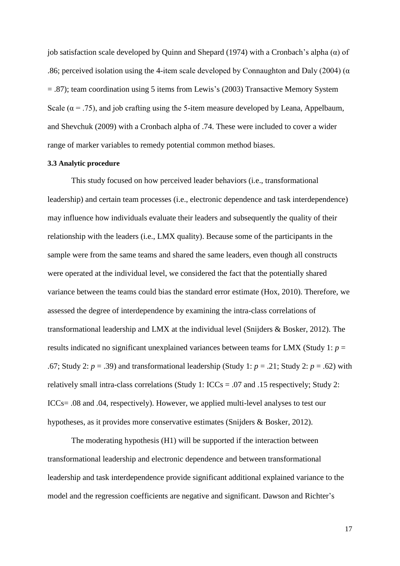job satisfaction scale developed by Quinn and Shepard (1974) with a Cronbach's alpha (α) of .86; perceived isolation using the 4-item scale developed by Connaughton and Daly (2004) ( $\alpha$ = .87); team coordination using 5 items from Lewis's (2003) Transactive Memory System Scale ( $\alpha$  = .75), and job crafting using the 5-item measure developed by Leana, Appelbaum, and Shevchuk (2009) with a Cronbach alpha of .74. These were included to cover a wider range of marker variables to remedy potential common method biases.

#### **3.3 Analytic procedure**

This study focused on how perceived leader behaviors (i.e., transformational leadership) and certain team processes (i.e., electronic dependence and task interdependence) may influence how individuals evaluate their leaders and subsequently the quality of their relationship with the leaders (i.e., LMX quality). Because some of the participants in the sample were from the same teams and shared the same leaders, even though all constructs were operated at the individual level, we considered the fact that the potentially shared variance between the teams could bias the standard error estimate (Hox, 2010). Therefore, we assessed the degree of interdependence by examining the intra-class correlations of transformational leadership and LMX at the individual level (Snijders & Bosker, 2012). The results indicated no significant unexplained variances between teams for LMX (Study 1:  $p =$ .67; Study 2: *p* = .39) and transformational leadership (Study 1: *p* = .21; Study 2: *p* = .62) with relatively small intra-class correlations (Study 1: ICCs = .07 and .15 respectively; Study 2: ICCs= .08 and .04, respectively). However, we applied multi-level analyses to test our hypotheses, as it provides more conservative estimates (Snijders & Bosker, 2012).

The moderating hypothesis (H1) will be supported if the interaction between transformational leadership and electronic dependence and between transformational leadership and task interdependence provide significant additional explained variance to the model and the regression coefficients are negative and significant. Dawson and Richter's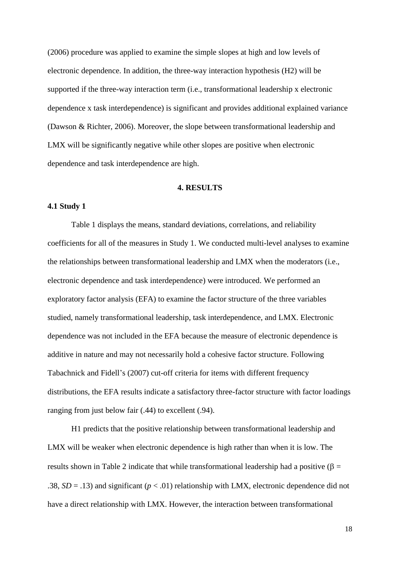(2006) procedure was applied to examine the simple slopes at high and low levels of electronic dependence. In addition, the three-way interaction hypothesis (H2) will be supported if the three-way interaction term (i.e., transformational leadership x electronic dependence x task interdependence) is significant and provides additional explained variance (Dawson & Richter, 2006). Moreover, the slope between transformational leadership and LMX will be significantly negative while other slopes are positive when electronic dependence and task interdependence are high.

## **4. RESULTS**

#### **4.1 Study 1**

Table 1 displays the means, standard deviations, correlations, and reliability coefficients for all of the measures in Study 1. We conducted multi-level analyses to examine the relationships between transformational leadership and LMX when the moderators (i.e., electronic dependence and task interdependence) were introduced. We performed an exploratory factor analysis (EFA) to examine the factor structure of the three variables studied, namely transformational leadership, task interdependence, and LMX. Electronic dependence was not included in the EFA because the measure of electronic dependence is additive in nature and may not necessarily hold a cohesive factor structure. Following Tabachnick and Fidell's (2007) cut-off criteria for items with different frequency distributions, the EFA results indicate a satisfactory three-factor structure with factor loadings ranging from just below fair (.44) to excellent (.94).

H1 predicts that the positive relationship between transformational leadership and LMX will be weaker when electronic dependence is high rather than when it is low. The results shown in Table 2 indicate that while transformational leadership had a positive ( $\beta$  = .38,  $SD = .13$ ) and significant ( $p < .01$ ) relationship with LMX, electronic dependence did not have a direct relationship with LMX. However, the interaction between transformational

18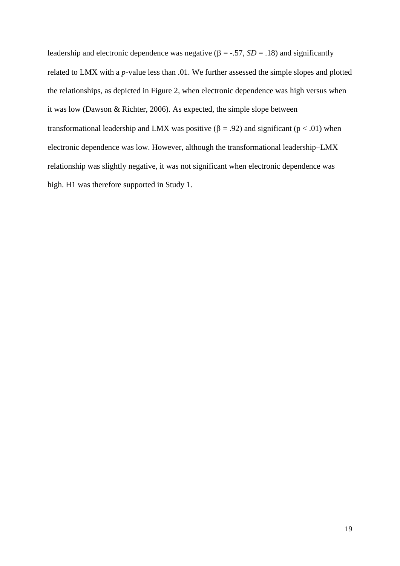leadership and electronic dependence was negative ( $\beta$  = -.57, *SD* = .18) and significantly related to LMX with a *p*-value less than .01. We further assessed the simple slopes and plotted the relationships, as depicted in Figure 2, when electronic dependence was high versus when it was low (Dawson & Richter, 2006). As expected, the simple slope between transformational leadership and LMX was positive ( $\beta = .92$ ) and significant ( $p < .01$ ) when electronic dependence was low. However, although the transformational leadership–LMX relationship was slightly negative, it was not significant when electronic dependence was high. H1 was therefore supported in Study 1.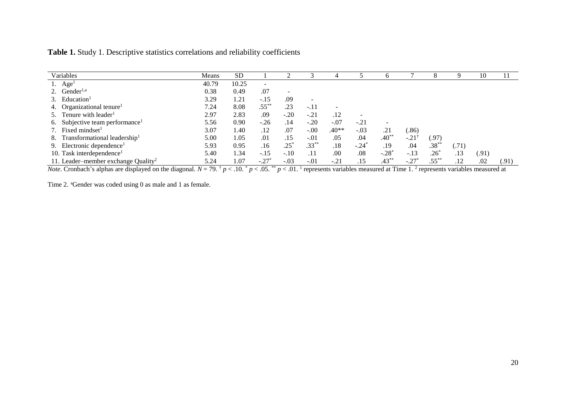| Table 1. Study 1. Descriptive statistics correlations and reliability coefficients |  |  |  |
|------------------------------------------------------------------------------------|--|--|--|
|------------------------------------------------------------------------------------|--|--|--|

| Variables                                       | Means | <b>SD</b> |                          |                          |                          |         |         |                     |                  |             |       | 10    |       |
|-------------------------------------------------|-------|-----------|--------------------------|--------------------------|--------------------------|---------|---------|---------------------|------------------|-------------|-------|-------|-------|
| 1. $Age1$                                       | 40.79 | 10.25     | $\overline{\phantom{a}}$ |                          |                          |         |         |                     |                  |             |       |       |       |
| 2. Gender <sup>1,a</sup>                        | 0.38  | 0.49      | .07                      | $\overline{\phantom{a}}$ |                          |         |         |                     |                  |             |       |       |       |
| 3. Education <sup>1</sup>                       | 3.29  | 1.21      | $-.15$                   | .09                      | $\overline{\phantom{a}}$ |         |         |                     |                  |             |       |       |       |
| 4. Organizational tenure <sup>1</sup>           | 7.24  | 8.08      | $.55^{*}$                | .23                      | $-.11$                   |         |         |                     |                  |             |       |       |       |
| 5. Tenure with leader <sup>1</sup>              | 2.97  | 2.83      | .09                      | $-.20$                   | $-.21$                   | .12     |         |                     |                  |             |       |       |       |
| 6. Subjective team performance <sup>1</sup>     | 5.56  | 0.90      | $-.26$                   | .14                      | $-.20$                   | $-.07$  | $-.21$  |                     |                  |             |       |       |       |
| 7. Fixed mindset <sup>1</sup>                   | 3.07  | 1.40      | .12                      | .07                      | $-.00$                   | $.40**$ | $-.03$  | .21                 | (.86)            |             |       |       |       |
| 8. Transformational leadership <sup>1</sup>     | 5.00  | 1.05      | .01                      | .15                      | $-.01$                   | .05     | .04     | $.40**$             | $-.21^{\dagger}$ | (.97)       |       |       |       |
| 9. Electronic dependence <sup>1</sup>           | 5.93  | 0.95      | .16                      | $.25*$                   | $.33***$                 | .18     | $-.24*$ | .19                 | .04              | $.38***$    | (.71) |       |       |
| 10. Task interdependence <sup>1</sup>           | 5.40  | 1.34      | $-.15$                   | $-.10$                   | .11                      | .00     | .08     | $-.28$ <sup>*</sup> | $-.13$           | $.26^\circ$ | .13   | (.91) |       |
| 11. Leader–member exchange Quality <sup>2</sup> | 5.24  | 1.07      | $-.27'$                  | $-.03$                   | $-.01$                   | $-.21$  | .15     | $.43***$            | $-.27'$          | $.55***$    | .12   | .02   | (.91) |

*Note*. Cronbach's alphas are displayed on the diagonal.  $N = 79$ .  $\frac{\hbar}{p}$  / 10.  $\frac{\hbar}{p}$  / 0.05. \*\*  $p$  / 0.1. 1 represents variables measured at Time 1. <sup>2</sup> represents variables measured at

Time 2. <sup>a</sup>Gender was coded using 0 as male and 1 as female.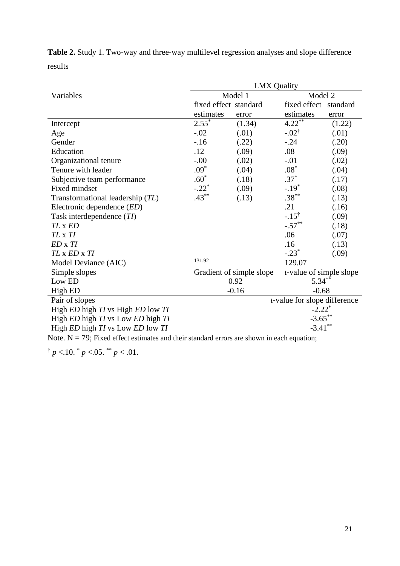|                                                              | <b>LMX Quality</b>    |                          |                                 |        |  |  |  |  |  |  |
|--------------------------------------------------------------|-----------------------|--------------------------|---------------------------------|--------|--|--|--|--|--|--|
| Variables                                                    |                       | Model 1                  | Model 2                         |        |  |  |  |  |  |  |
|                                                              | fixed effect standard |                          | fixed effect standard           |        |  |  |  |  |  |  |
|                                                              | estimates             | error                    | estimates                       | error  |  |  |  |  |  |  |
| Intercept                                                    | $2.55^{*}$            | (1.34)                   | $4.22***$                       | (1.22) |  |  |  |  |  |  |
| Age                                                          | $-.02$                | (.01)                    | $-.02^{\dagger}$                | (.01)  |  |  |  |  |  |  |
| Gender                                                       | $-16$                 | (.22)                    | $-.24$                          | (.20)  |  |  |  |  |  |  |
| Education                                                    | .12                   | (.09)                    | .08                             | (.09)  |  |  |  |  |  |  |
| Organizational tenure                                        | $-0.00$               | (.02)                    | $-.01$                          | (.02)  |  |  |  |  |  |  |
| Tenure with leader                                           | $.09*$                | (.04)                    | $.08*$                          | (.04)  |  |  |  |  |  |  |
| Subjective team performance                                  | $.60*$                | (.18)                    | $.37*$                          | (.17)  |  |  |  |  |  |  |
| Fixed mindset                                                | $-.22*$               | (.09)                    | $-.19*$                         | (.08)  |  |  |  |  |  |  |
| Transformational leadership (TL)                             | $.43***$              | (.13)                    | $.38***$                        | (.13)  |  |  |  |  |  |  |
| Electronic dependence $(ED)$                                 |                       |                          | .21                             | (.16)  |  |  |  |  |  |  |
| Task interdependence $(TI)$                                  |                       |                          | $-.15^{\dagger}$                | (.09)  |  |  |  |  |  |  |
| TL x ED                                                      |                       |                          | $-.57***$                       | (.18)  |  |  |  |  |  |  |
| TL x TI                                                      |                       |                          | .06                             | (.07)  |  |  |  |  |  |  |
| $ED \times TI$                                               |                       |                          | .16                             | (.13)  |  |  |  |  |  |  |
| TL x ED x TI                                                 |                       |                          | $-.23*$                         | (.09)  |  |  |  |  |  |  |
| Model Deviance (AIC)                                         | 131.92                |                          | 129.07                          |        |  |  |  |  |  |  |
| Simple slopes                                                |                       | Gradient of simple slope | <i>t</i> -value of simple slope |        |  |  |  |  |  |  |
| Low ED                                                       |                       | 0.92                     | $5.34***$                       |        |  |  |  |  |  |  |
| High ED                                                      |                       | $-0.16$                  | $-0.68$                         |        |  |  |  |  |  |  |
| Pair of slopes                                               |                       |                          | t-value for slope difference    |        |  |  |  |  |  |  |
| High ED high TI vs High ED low TI                            |                       |                          | $-2.22$ <sup>*</sup>            |        |  |  |  |  |  |  |
| High ED high TI vs Low ED high TI                            |                       |                          | $-3.65$ **                      |        |  |  |  |  |  |  |
| High <i>ED</i> high <i>TI</i> vs Low <i>ED</i> low <i>TI</i> |                       |                          | $-3.41***$                      |        |  |  |  |  |  |  |

**Table 2.** Study 1. Two-way and three-way multilevel regression analyses and slope difference results

Note.  $N = 79$ ; Fixed effect estimates and their standard errors are shown in each equation;

 $\frac{1}{p}$  <.10.  $\frac{*}{p}$  <.05.  $\frac{*}{p}$  / <.01.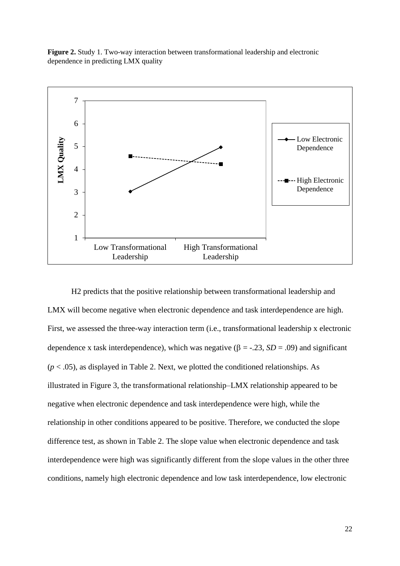**Figure 2.** Study 1. Two-way interaction between transformational leadership and electronic dependence in predicting LMX quality



H2 predicts that the positive relationship between transformational leadership and LMX will become negative when electronic dependence and task interdependence are high. First, we assessed the three-way interaction term (i.e., transformational leadership x electronic dependence x task interdependence), which was negative  $(\beta = -0.23, SD = .09)$  and significant  $(p < .05)$ , as displayed in Table 2. Next, we plotted the conditioned relationships. As illustrated in Figure 3, the transformational relationship–LMX relationship appeared to be negative when electronic dependence and task interdependence were high, while the relationship in other conditions appeared to be positive. Therefore, we conducted the slope difference test, as shown in Table 2. The slope value when electronic dependence and task interdependence were high was significantly different from the slope values in the other three conditions, namely high electronic dependence and low task interdependence, low electronic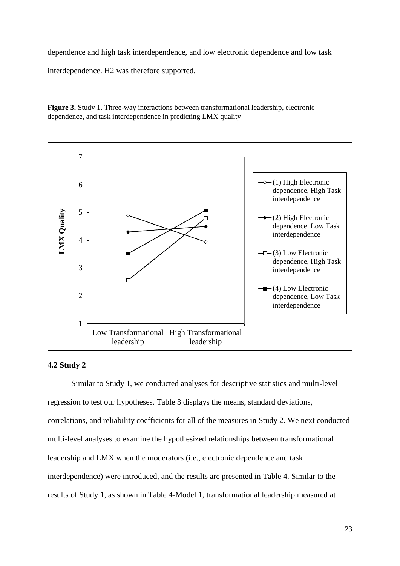dependence and high task interdependence, and low electronic dependence and low task

interdependence. H2 was therefore supported.

**Figure 3.** Study 1. Three-way interactions between transformational leadership, electronic dependence, and task interdependence in predicting LMX quality



## **4.2 Study 2**

Similar to Study 1, we conducted analyses for descriptive statistics and multi-level regression to test our hypotheses. Table 3 displays the means, standard deviations, correlations, and reliability coefficients for all of the measures in Study 2. We next conducted multi-level analyses to examine the hypothesized relationships between transformational leadership and LMX when the moderators (i.e., electronic dependence and task interdependence) were introduced, and the results are presented in Table 4. Similar to the results of Study 1, as shown in Table 4-Model 1, transformational leadership measured at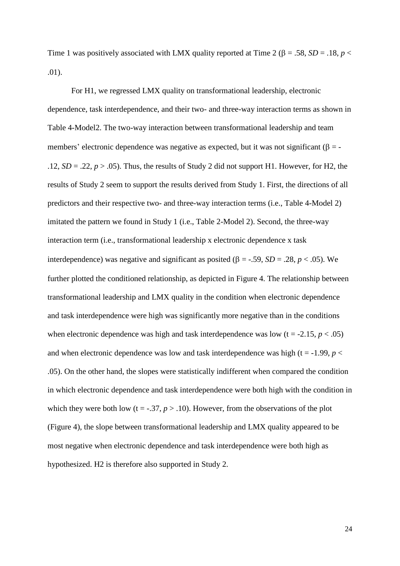Time 1 was positively associated with LMX quality reported at Time 2 ( $\beta = .58$ ,  $SD = .18$ ,  $p <$ .01).

For H1, we regressed LMX quality on transformational leadership, electronic dependence, task interdependence, and their two- and three-way interaction terms as shown in Table 4-Model2. The two-way interaction between transformational leadership and team members' electronic dependence was negative as expected, but it was not significant ( $\beta$  = -.12,  $SD = 0.22$ ,  $p > 0.05$ ). Thus, the results of Study 2 did not support H1. However, for H2, the results of Study 2 seem to support the results derived from Study 1. First, the directions of all predictors and their respective two- and three-way interaction terms (i.e., Table 4-Model 2) imitated the pattern we found in Study 1 (i.e., Table 2-Model 2). Second, the three-way interaction term (i.e., transformational leadership x electronic dependence x task interdependence) was negative and significant as posited ( $\beta$  = -.59, *SD* = .28, *p* < .05). We further plotted the conditioned relationship, as depicted in Figure 4. The relationship between transformational leadership and LMX quality in the condition when electronic dependence and task interdependence were high was significantly more negative than in the conditions when electronic dependence was high and task interdependence was low  $(t = -2.15, p < .05)$ and when electronic dependence was low and task interdependence was high ( $t = -1.99$ ,  $p <$ .05). On the other hand, the slopes were statistically indifferent when compared the condition in which electronic dependence and task interdependence were both high with the condition in which they were both low  $(t = -.37, p > .10)$ . However, from the observations of the plot (Figure 4), the slope between transformational leadership and LMX quality appeared to be most negative when electronic dependence and task interdependence were both high as hypothesized. H2 is therefore also supported in Study 2.

24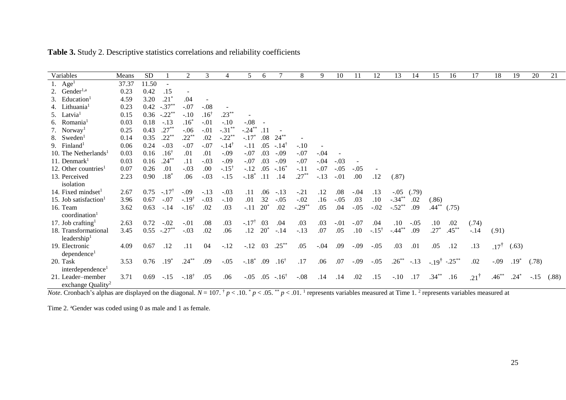| Variables                         | Means | <b>SD</b>                 |                  | 2                | 3               | $\overline{4}$   | 5                | 6           |                  | 8                    | 9      | 10     | 11     | 12               | 13                   | 14     | 15               | 16        | 17              | 18              | 19     | 20     | 21    |
|-----------------------------------|-------|---------------------------|------------------|------------------|-----------------|------------------|------------------|-------------|------------------|----------------------|--------|--------|--------|------------------|----------------------|--------|------------------|-----------|-----------------|-----------------|--------|--------|-------|
| Age <sup>1</sup>                  | 37.37 | 11.50                     |                  |                  |                 |                  |                  |             |                  |                      |        |        |        |                  |                      |        |                  |           |                 |                 |        |        |       |
| 2. Gender <sup>1,a</sup>          | 0.23  | 0.42                      | .15              |                  |                 |                  |                  |             |                  |                      |        |        |        |                  |                      |        |                  |           |                 |                 |        |        |       |
| 3. Education <sup>1</sup>         | 4.59  | 3.20                      | $.21*$           | .04              |                 |                  |                  |             |                  |                      |        |        |        |                  |                      |        |                  |           |                 |                 |        |        |       |
| 4. Lithuania <sup>1</sup>         | 0.23  | 0.42                      | $-.37**$         | $-.07$           | $-.08$          |                  |                  |             |                  |                      |        |        |        |                  |                      |        |                  |           |                 |                 |        |        |       |
| 5. Latvia <sup>1</sup>            | 0.15  | 0.36                      | $-.22$ **        | $-.10$           | $.16^{\dagger}$ | $.23***$         |                  |             |                  |                      |        |        |        |                  |                      |        |                  |           |                 |                 |        |        |       |
| 6. Romania <sup>1</sup>           | 0.03  | 0.18                      | $-.13$           | $.16*$           | $-.01$          | $-.10$           | $-.08$           |             |                  |                      |        |        |        |                  |                      |        |                  |           |                 |                 |        |        |       |
| 7. Norway <sup>1</sup>            | 0.25  | 0.43                      | $.27***$         | $-.06$           | $-.01$          | $-.31***$        | $-.24***$        | $\cdot$ .11 |                  |                      |        |        |        |                  |                      |        |                  |           |                 |                 |        |        |       |
| 8. Sweden <sup>1</sup>            | 0.14  | 0.35                      | $.22***$         | $.22***$         | .02             | $-.22**$         | $-.17*$          |             | $.08 \t24***$    |                      |        |        |        |                  |                      |        |                  |           |                 |                 |        |        |       |
| 9. Finland <sup>1</sup>           | 0.06  | 0.24                      | $-.03$           | $-.07$           | $-.07$          | $-.14^{\dagger}$ | $-.11$           | .05         | $-.14^{\dagger}$ | $-.10$               |        |        |        |                  |                      |        |                  |           |                 |                 |        |        |       |
| 10. The Netherlands <sup>1</sup>  | 0.03  | 0.16                      | $.16^{\dagger}$  | .01              | .01             | $-.09$           | $-.07$           | .03         | $-.09$           | $-.07$               | $-.04$ |        |        |                  |                      |        |                  |           |                 |                 |        |        |       |
| 11. Denmark $1$                   | 0.03  | 0.16                      | $.24***$         | .11              | $-.03$          | $-.09$           | $-.07$           | .03         | $-.09$           | $-.07$               | $-.04$ | $-.03$ |        |                  |                      |        |                  |           |                 |                 |        |        |       |
| 12. Other countries <sup>1</sup>  | 0.07  | 0.26                      | .01              | $-.03$           | .00             | $-.15^{\dagger}$ | $-.12$           | .05         | $-.16*$          | $-.11$               | $-.07$ | $-.05$ | $-.05$ |                  |                      |        |                  |           |                 |                 |        |        |       |
| 13. Perceived                     | 2.23  | 0.90                      | $.18*$           | .06              | $-.03$          | $-.15$           | $-.18*$          | $\cdot$ 11  | .14              | $.27***$             | $-.13$ | $-.01$ | .00    | .12              | (.87)                |        |                  |           |                 |                 |        |        |       |
| isolation                         |       |                           |                  |                  |                 |                  |                  |             |                  |                      |        |        |        |                  |                      |        |                  |           |                 |                 |        |        |       |
| 14. Fixed mindset <sup>1</sup>    | 2.67  | 0.75                      | $-.17^{\dagger}$ | $-.09$           | $-.13$          | $-.03$           | .11              | .06         | $-.13$           | $-.21$               | .12    | .08    | $-.04$ | .13              | $-.05$               | (.79)  |                  |           |                 |                 |        |        |       |
| 15. Job satisfaction <sup>1</sup> | 3.96  | 0.67                      | $-.07$           | $-.19^{\dagger}$ | $-.03$          | $-.10$           | .01              | .32         | $-.05$           | $-.02$               | .16    | $-.05$ | .03    | .10              | $-.34***$            | .02    | (.86)            |           |                 |                 |        |        |       |
| 16. Team                          | 3.62  | 0.63                      | $-.14$           | $-.16^{\dagger}$ | .02             | .03              | $-.11$           | $20^*$      | .02              | $-.29$ <sup>**</sup> | .05    | .04    | $-.05$ | $-.02$           | $-.52$ <sup>**</sup> | .09    | $.44***$         | (.75)     |                 |                 |        |        |       |
| coordination <sup>1</sup>         |       |                           |                  |                  |                 |                  |                  |             |                  |                      |        |        |        |                  |                      |        |                  |           |                 |                 |        |        |       |
| 17. Job crafting <sup>1</sup>     | 2.63  | 0.72                      | $-.02$           | $-.01$           | .08             | .03              | $-.17^{\dagger}$ | .03         | .04              | .03                  | .03    | $-.01$ | $-.07$ | .04              | .10                  | $-.05$ | $.10\,$          | .02       | (.74)           |                 |        |        |       |
| 18. Transformational              | 3.45  | $0.55$ -.27 <sup>**</sup> |                  | $-.03$           | .02             | .06              | .12              | $20^*$      | $-.14$           | $-.13$               | .07    | .05    | .10    | $-.15^{\dagger}$ | $-.44**$             | .09    | $.27*$           | $.45***$  | $-.14$          | (.91)           |        |        |       |
| leadership $1$                    |       |                           |                  |                  |                 |                  |                  |             |                  |                      |        |        |        |                  |                      |        |                  |           |                 |                 |        |        |       |
| 19. Electronic                    | 4.09  | 0.67                      | .12              | .11              | 04              | $-.12$           | $-.12$           | .03         | $.25***$         | .05                  | $-.04$ | .09    | $-.09$ | $-.05$           | .03                  | .01    | .05              | .12       | .13             | $.17^{\dagger}$ | (.63)  |        |       |
| dependence <sup>1</sup>           |       |                           |                  |                  |                 |                  |                  |             |                  |                      |        |        |        |                  |                      |        |                  |           |                 |                 |        |        |       |
| 20. Task                          | 3.53  | 0.76                      | $.19*$           | $.24***$         | .09             | $-.05$           | $-.18*$          | .09         | $.16^{\dagger}$  | .17                  | .06    | .07    | $-.09$ | $-.05$           | $.26***$             | $-.13$ | $-.19^{\dagger}$ | $-.25***$ | .02             | $-0.09$         | $.19*$ | (.78)  |       |
| interdependence <sup>1</sup>      |       |                           |                  |                  |                 |                  |                  |             |                  |                      |        |        |        |                  |                      |        |                  |           |                 |                 |        |        |       |
| 21. Leader-member                 | 3.71  | 0.69                      | $-.15$           | $-.18^{\dagger}$ | .05             | .06              | $-.05$           | .05         | $-.16^{\dagger}$ | $-.08$               | .14    | .14    | .02    | .15              | $-.10$               | .17    | $.34***$         | .16       | $.21^{\dagger}$ | $.46^{**}$      | .24    | $-.15$ | (.88) |
| exchange Quality <sup>2</sup>     |       |                           |                  |                  |                 |                  |                  |             |                  |                      |        |        |        |                  |                      |        |                  |           |                 |                 |        |        |       |

**Table 3.** Study 2. Descriptive statistics correlations and reliability coefficients

*Note*. Cronbach's alphas are displayed on the diagonal.  $N = 107$ .  $\frac{\dagger}{p}$   $\lt$  .10.  $\frac{\dagger}{p}$   $\lt$  .05.  $\frac{\dagger}{p}$   $\lt$  .01. <sup>1</sup> represents variables measured at Time 1. <sup>2</sup> represents variables measured at

Time 2. <sup>a</sup>Gender was coded using 0 as male and 1 as female.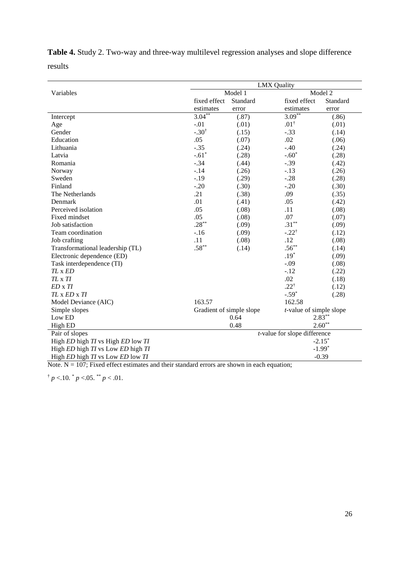**Table 4.** Study 2. Two-way and three-way multilevel regression analyses and slope difference results

|                                   | <b>LMX Quality</b>                   |          |                            |           |  |  |  |  |  |
|-----------------------------------|--------------------------------------|----------|----------------------------|-----------|--|--|--|--|--|
| Variables                         |                                      | Model 1  |                            | Model 2   |  |  |  |  |  |
|                                   | fixed effect                         | Standard | fixed effect               | Standard  |  |  |  |  |  |
|                                   | estimates                            | error    | estimates                  | error     |  |  |  |  |  |
| Intercept                         | $3.04***$                            | (.87)    | $3.09***$                  | (.86)     |  |  |  |  |  |
| Age                               | $-.01$                               | (.01)    | $.01^{\dagger}$            | (.01)     |  |  |  |  |  |
| Gender                            | $-.30^{\dagger}$                     | (.15)    | $-.33$                     | (.14)     |  |  |  |  |  |
| Education                         | .05                                  | (.07)    | .02                        | (.06)     |  |  |  |  |  |
| Lithuania                         | $-.35$                               | (.24)    | $-.40$                     | (.24)     |  |  |  |  |  |
| Latvia                            | $-.61*$                              | (.28)    | $-.60*$                    | (.28)     |  |  |  |  |  |
| Romania                           | $-.34$                               | (.44)    | $-.39$                     | (.42)     |  |  |  |  |  |
| Norway                            | $-.14$                               | (.26)    | $-.13$                     | (.26)     |  |  |  |  |  |
| Sweden                            | $-.19$                               | (.29)    | $-.28$                     | (.28)     |  |  |  |  |  |
| Finland                           | $-.20$                               | (.30)    | $-.20$                     | (.30)     |  |  |  |  |  |
| The Netherlands                   | .21                                  | (.38)    | .09                        | (.35)     |  |  |  |  |  |
| Denmark                           | .01                                  | (.41)    | .05                        | (.42)     |  |  |  |  |  |
| Perceived isolation               | .05                                  | (.08)    | .11                        | (.08)     |  |  |  |  |  |
| Fixed mindset                     | .05                                  | (.08)    | .07                        | (.07)     |  |  |  |  |  |
| Job satisfaction                  | $.28***$                             | (.09)    | $.31***$                   | (.09)     |  |  |  |  |  |
| Team coordination                 | $-.16$                               | (.09)    | $-.22^{\dagger}$           | (.12)     |  |  |  |  |  |
| Job crafting                      | .11                                  | (.08)    | .12                        | (.08)     |  |  |  |  |  |
| Transformational leadership (TL)  | $.58***$                             | (.14)    | $.56***$                   | (.14)     |  |  |  |  |  |
| Electronic dependence (ED)        |                                      |          | $.19*$                     | (.09)     |  |  |  |  |  |
| Task interdependence (TI)         |                                      |          | $-.09$                     | (.08)     |  |  |  |  |  |
| TL x ED                           |                                      |          | $-.12$                     | (.22)     |  |  |  |  |  |
| TL x TI                           |                                      |          | .02                        | (.18)     |  |  |  |  |  |
| ED x TI                           |                                      |          | $.22^{\dagger}$            | (.12)     |  |  |  |  |  |
| $TL \times ED \times TI$          |                                      |          | $-.59*$                    | (.28)     |  |  |  |  |  |
| Model Deviance (AIC)              | 163.57                               |          | 162.58                     |           |  |  |  |  |  |
| Simple slopes                     | Gradient of simple slope             |          | $t$ -value of simple slope |           |  |  |  |  |  |
| Low ED                            |                                      | 0.64     |                            | $2.83***$ |  |  |  |  |  |
| High ED                           | $2.60**$<br>0.48                     |          |                            |           |  |  |  |  |  |
| Pair of slopes                    | <i>t</i> -value for slope difference |          |                            |           |  |  |  |  |  |
| High ED high TI vs High ED low TI |                                      |          |                            | $-2.15*$  |  |  |  |  |  |
| High ED high TI vs Low ED high TI |                                      |          |                            | $-1.99*$  |  |  |  |  |  |
| High ED high TI vs Low ED low TI  |                                      |          |                            | $-0.39$   |  |  |  |  |  |

Note.  $N = 107$ ; Fixed effect estimates and their standard errors are shown in each equation;

 $\uparrow$  *p* <.10.  $\uparrow$  *p* <.05.  $\uparrow$  *p* < .01.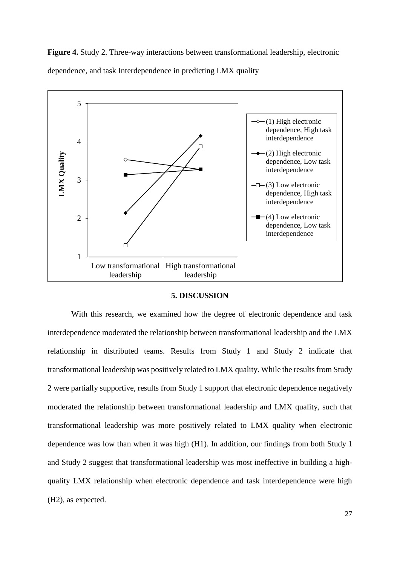**Figure 4.** Study 2. Three-way interactions between transformational leadership, electronic dependence, and task Interdependence in predicting LMX quality



#### **5. DISCUSSION**

With this research, we examined how the degree of electronic dependence and task interdependence moderated the relationship between transformational leadership and the LMX relationship in distributed teams. Results from Study 1 and Study 2 indicate that transformational leadership was positively related to LMX quality. While the results from Study 2 were partially supportive, results from Study 1 support that electronic dependence negatively moderated the relationship between transformational leadership and LMX quality, such that transformational leadership was more positively related to LMX quality when electronic dependence was low than when it was high (H1). In addition, our findings from both Study 1 and Study 2 suggest that transformational leadership was most ineffective in building a highquality LMX relationship when electronic dependence and task interdependence were high (H2), as expected.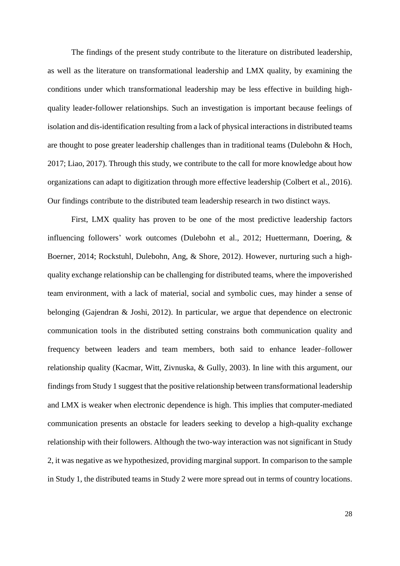The findings of the present study contribute to the literature on distributed leadership, as well as the literature on transformational leadership and LMX quality, by examining the conditions under which transformational leadership may be less effective in building highquality leader-follower relationships. Such an investigation is important because feelings of isolation and dis-identification resulting from a lack of physical interactions in distributed teams are thought to pose greater leadership challenges than in traditional teams (Dulebohn  $&$  Hoch, 2017; Liao, 2017). Through this study, we contribute to the call for more knowledge about how organizations can adapt to digitization through more effective leadership (Colbert et al., 2016). Our findings contribute to the distributed team leadership research in two distinct ways.

First, LMX quality has proven to be one of the most predictive leadership factors influencing followers' work outcomes (Dulebohn et al., 2012; Huettermann, Doering, & Boerner, 2014; Rockstuhl, Dulebohn, Ang, & Shore, 2012). However, nurturing such a highquality exchange relationship can be challenging for distributed teams, where the impoverished team environment, with a lack of material, social and symbolic cues, may hinder a sense of belonging (Gajendran & Joshi, 2012). In particular, we argue that dependence on electronic communication tools in the distributed setting constrains both communication quality and frequency between leaders and team members, both said to enhance leader–follower relationship quality (Kacmar, Witt, Zivnuska, & Gully, 2003). In line with this argument, our findings from Study 1 suggest that the positive relationship between transformational leadership and LMX is weaker when electronic dependence is high. This implies that computer-mediated communication presents an obstacle for leaders seeking to develop a high-quality exchange relationship with their followers. Although the two-way interaction was not significant in Study 2, it was negative as we hypothesized, providing marginal support. In comparison to the sample in Study 1, the distributed teams in Study 2 were more spread out in terms of country locations.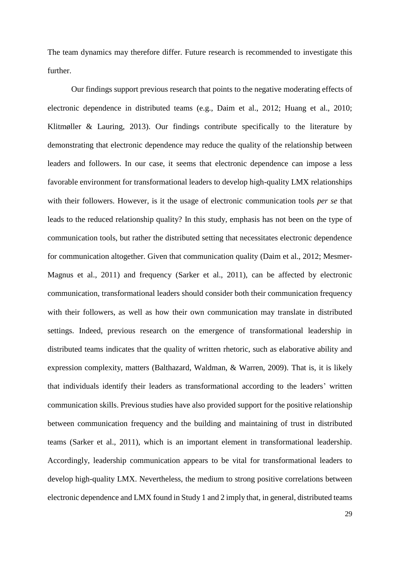The team dynamics may therefore differ. Future research is recommended to investigate this further.

Our findings support previous research that points to the negative moderating effects of electronic dependence in distributed teams (e.g., Daim et al., 2012; Huang et al., 2010; Klitmøller & Lauring, 2013). Our findings contribute specifically to the literature by demonstrating that electronic dependence may reduce the quality of the relationship between leaders and followers. In our case, it seems that electronic dependence can impose a less favorable environment for transformational leaders to develop high-quality LMX relationships with their followers. However, is it the usage of electronic communication tools *per se* that leads to the reduced relationship quality? In this study, emphasis has not been on the type of communication tools, but rather the distributed setting that necessitates electronic dependence for communication altogether. Given that communication quality (Daim et al., 2012; Mesmer-Magnus et al., 2011) and frequency (Sarker et al., 2011), can be affected by electronic communication, transformational leaders should consider both their communication frequency with their followers, as well as how their own communication may translate in distributed settings. Indeed, previous research on the emergence of transformational leadership in distributed teams indicates that the quality of written rhetoric, such as elaborative ability and expression complexity, matters (Balthazard, Waldman, & Warren, 2009). That is, it is likely that individuals identify their leaders as transformational according to the leaders' written communication skills. Previous studies have also provided support for the positive relationship between communication frequency and the building and maintaining of trust in distributed teams (Sarker et al., 2011), which is an important element in transformational leadership. Accordingly, leadership communication appears to be vital for transformational leaders to develop high-quality LMX. Nevertheless, the medium to strong positive correlations between electronic dependence and LMX found in Study 1 and 2 imply that, in general, distributed teams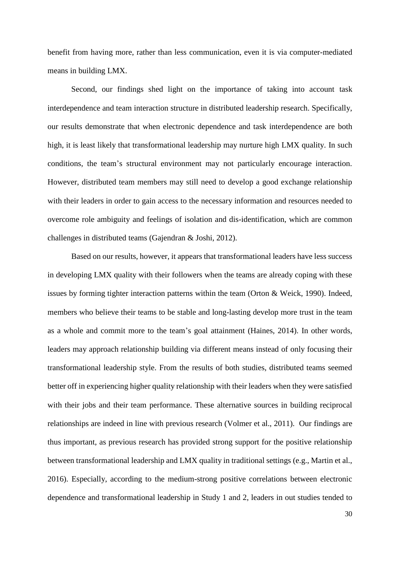benefit from having more, rather than less communication, even it is via computer-mediated means in building LMX.

Second, our findings shed light on the importance of taking into account task interdependence and team interaction structure in distributed leadership research. Specifically, our results demonstrate that when electronic dependence and task interdependence are both high, it is least likely that transformational leadership may nurture high LMX quality. In such conditions, the team's structural environment may not particularly encourage interaction. However, distributed team members may still need to develop a good exchange relationship with their leaders in order to gain access to the necessary information and resources needed to overcome role ambiguity and feelings of isolation and dis-identification, which are common challenges in distributed teams (Gajendran & Joshi, 2012).

Based on our results, however, it appears that transformational leaders have less success in developing LMX quality with their followers when the teams are already coping with these issues by forming tighter interaction patterns within the team (Orton & Weick, 1990). Indeed, members who believe their teams to be stable and long-lasting develop more trust in the team as a whole and commit more to the team's goal attainment (Haines, 2014). In other words, leaders may approach relationship building via different means instead of only focusing their transformational leadership style. From the results of both studies, distributed teams seemed better off in experiencing higher quality relationship with their leaders when they were satisfied with their jobs and their team performance. These alternative sources in building reciprocal relationships are indeed in line with previous research (Volmer et al., 2011). Our findings are thus important, as previous research has provided strong support for the positive relationship between transformational leadership and LMX quality in traditional settings (e.g., Martin et al., 2016). Especially, according to the medium-strong positive correlations between electronic dependence and transformational leadership in Study 1 and 2, leaders in out studies tended to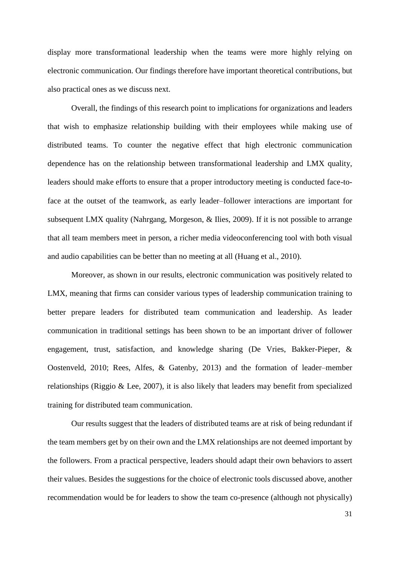display more transformational leadership when the teams were more highly relying on electronic communication. Our findings therefore have important theoretical contributions, but also practical ones as we discuss next.

Overall, the findings of this research point to implications for organizations and leaders that wish to emphasize relationship building with their employees while making use of distributed teams. To counter the negative effect that high electronic communication dependence has on the relationship between transformational leadership and LMX quality, leaders should make efforts to ensure that a proper introductory meeting is conducted face-toface at the outset of the teamwork, as early leader–follower interactions are important for subsequent LMX quality (Nahrgang, Morgeson, & Ilies, 2009). If it is not possible to arrange that all team members meet in person, a richer media videoconferencing tool with both visual and audio capabilities can be better than no meeting at all (Huang et al., 2010).

Moreover, as shown in our results, electronic communication was positively related to LMX, meaning that firms can consider various types of leadership communication training to better prepare leaders for distributed team communication and leadership. As leader communication in traditional settings has been shown to be an important driver of follower engagement, trust, satisfaction, and knowledge sharing (De Vries, Bakker-Pieper, & Oostenveld, 2010; Rees, Alfes, & Gatenby, 2013) and the formation of leader–member relationships (Riggio & Lee, 2007), it is also likely that leaders may benefit from specialized training for distributed team communication.

Our results suggest that the leaders of distributed teams are at risk of being redundant if the team members get by on their own and the LMX relationships are not deemed important by the followers. From a practical perspective, leaders should adapt their own behaviors to assert their values. Besides the suggestions for the choice of electronic tools discussed above, another recommendation would be for leaders to show the team co-presence (although not physically)

31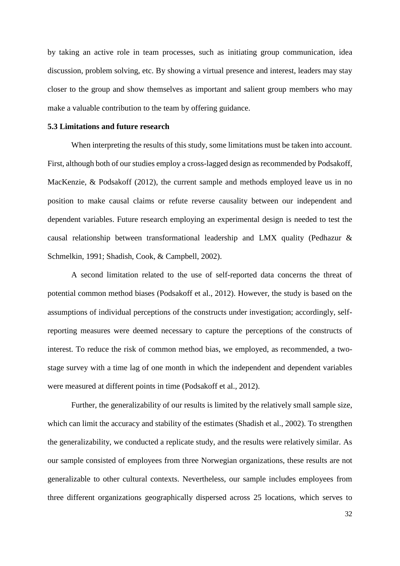by taking an active role in team processes, such as initiating group communication, idea discussion, problem solving, etc. By showing a virtual presence and interest, leaders may stay closer to the group and show themselves as important and salient group members who may make a valuable contribution to the team by offering guidance.

#### **5.3 Limitations and future research**

When interpreting the results of this study, some limitations must be taken into account. First, although both of our studies employ a cross-lagged design as recommended by Podsakoff, MacKenzie, & Podsakoff (2012), the current sample and methods employed leave us in no position to make causal claims or refute reverse causality between our independent and dependent variables. Future research employing an experimental design is needed to test the causal relationship between transformational leadership and LMX quality (Pedhazur & Schmelkin, 1991; Shadish, Cook, & Campbell, 2002).

A second limitation related to the use of self-reported data concerns the threat of potential common method biases (Podsakoff et al., 2012). However, the study is based on the assumptions of individual perceptions of the constructs under investigation; accordingly, selfreporting measures were deemed necessary to capture the perceptions of the constructs of interest. To reduce the risk of common method bias, we employed, as recommended, a twostage survey with a time lag of one month in which the independent and dependent variables were measured at different points in time (Podsakoff et al., 2012).

Further, the generalizability of our results is limited by the relatively small sample size, which can limit the accuracy and stability of the estimates (Shadish et al., 2002). To strengthen the generalizability, we conducted a replicate study, and the results were relatively similar. As our sample consisted of employees from three Norwegian organizations, these results are not generalizable to other cultural contexts. Nevertheless, our sample includes employees from three different organizations geographically dispersed across 25 locations, which serves to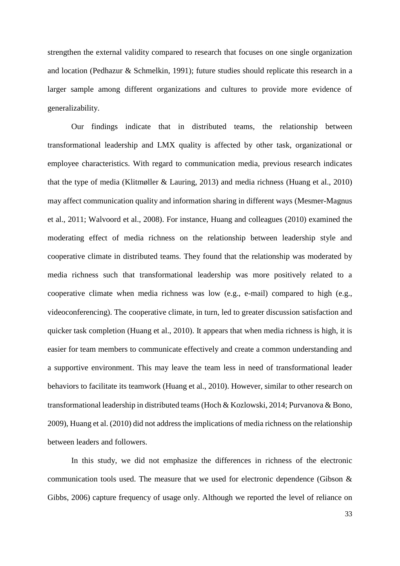strengthen the external validity compared to research that focuses on one single organization and location (Pedhazur & Schmelkin, 1991); future studies should replicate this research in a larger sample among different organizations and cultures to provide more evidence of generalizability.

Our findings indicate that in distributed teams, the relationship between transformational leadership and LMX quality is affected by other task, organizational or employee characteristics. With regard to communication media, previous research indicates that the type of media (Klitmøller & Lauring, 2013) and media richness (Huang et al., 2010) may affect communication quality and information sharing in different ways (Mesmer-Magnus et al., 2011; Walvoord et al., 2008). For instance, Huang and colleagues (2010) examined the moderating effect of media richness on the relationship between leadership style and cooperative climate in distributed teams. They found that the relationship was moderated by media richness such that transformational leadership was more positively related to a cooperative climate when media richness was low (e.g., e-mail) compared to high (e.g., videoconferencing). The cooperative climate, in turn, led to greater discussion satisfaction and quicker task completion (Huang et al., 2010). It appears that when media richness is high, it is easier for team members to communicate effectively and create a common understanding and a supportive environment. This may leave the team less in need of transformational leader behaviors to facilitate its teamwork (Huang et al., 2010). However, similar to other research on transformational leadership in distributed teams (Hoch & Kozlowski, 2014; Purvanova & Bono, 2009), Huang et al. (2010) did not address the implications of media richness on the relationship between leaders and followers.

In this study, we did not emphasize the differences in richness of the electronic communication tools used. The measure that we used for electronic dependence (Gibson & Gibbs, 2006) capture frequency of usage only. Although we reported the level of reliance on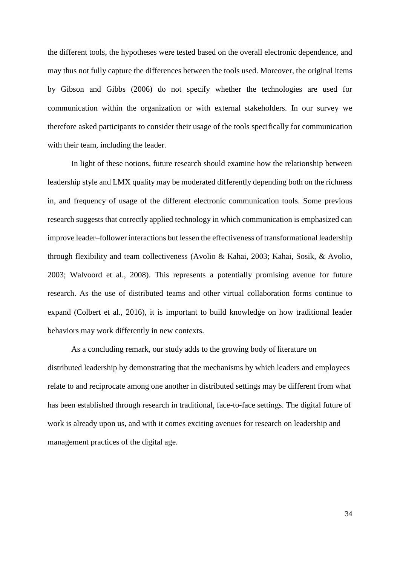the different tools, the hypotheses were tested based on the overall electronic dependence, and may thus not fully capture the differences between the tools used. Moreover, the original items by Gibson and Gibbs (2006) do not specify whether the technologies are used for communication within the organization or with external stakeholders. In our survey we therefore asked participants to consider their usage of the tools specifically for communication with their team, including the leader.

In light of these notions, future research should examine how the relationship between leadership style and LMX quality may be moderated differently depending both on the richness in, and frequency of usage of the different electronic communication tools. Some previous research suggests that correctly applied technology in which communication is emphasized can improve leader–follower interactions but lessen the effectiveness of transformational leadership through flexibility and team collectiveness (Avolio & Kahai, 2003; Kahai, Sosik, & Avolio, 2003; Walvoord et al., 2008). This represents a potentially promising avenue for future research. As the use of distributed teams and other virtual collaboration forms continue to expand (Colbert et al., 2016), it is important to build knowledge on how traditional leader behaviors may work differently in new contexts.

As a concluding remark, our study adds to the growing body of literature on distributed leadership by demonstrating that the mechanisms by which leaders and employees relate to and reciprocate among one another in distributed settings may be different from what has been established through research in traditional, face-to-face settings. The digital future of work is already upon us, and with it comes exciting avenues for research on leadership and management practices of the digital age.

34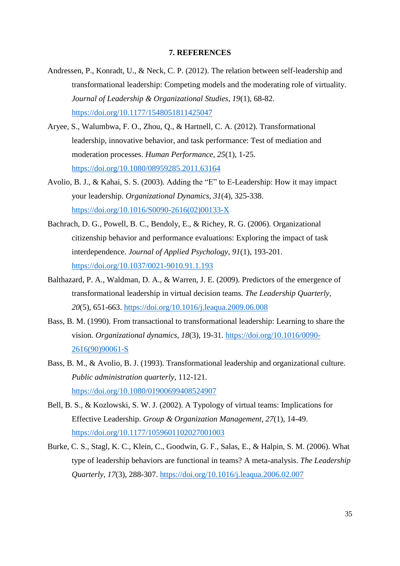## **7. REFERENCES**

- Andressen, P., Konradt, U., & Neck, C. P. (2012). The relation between self-leadership and transformational leadership: Competing models and the moderating role of virtuality. *Journal of Leadership & Organizational Studies, 19*(1), 68-82. https://doi.org/10.1177/1548051811425047
- Aryee, S., Walumbwa, F. O., Zhou, Q., & Hartnell, C. A. (2012). Transformational leadership, innovative behavior, and task performance: Test of mediation and moderation processes. *Human Performance, 25*(1), 1-25. https://doi.org/10.1080/08959285.2011.63164
- Avolio, B. J., & Kahai, S. S. (2003). Adding the "E" to E-Leadership: How it may impact your leadership. *Organizational Dynamics, 31*(4), 325-338. https://doi.org/10.1016/S0090-2616(02)00133-X
- Bachrach, D. G., Powell, B. C., Bendoly, E., & Richey, R. G. (2006). Organizational citizenship behavior and performance evaluations: Exploring the impact of task interdependence. *Journal of Applied Psychology, 91*(1), 193-201. https://doi.org/10.1037/0021-9010.91.1.193
- Balthazard, P. A., Waldman, D. A., & Warren, J. E. (2009). Predictors of the emergence of transformational leadership in virtual decision teams. *The Leadership Quarterly, 20*(5), 651-663. https://doi.org/10.1016/j.leaqua.2009.06.008
- Bass, B. M. (1990). From transactional to transformational leadership: Learning to share the vision. *Organizational dynamics, 18*(3), 19-31. https://doi.org/10.1016/0090- 2616(90)90061-S
- Bass, B. M., & Avolio, B. J. (1993). Transformational leadership and organizational culture. *Public administration quarterly*, 112-121. https://doi.org/10.1080/01900699408524907
- Bell, B. S., & Kozlowski, S. W. J. (2002). A Typology of virtual teams: Implications for Effective Leadership. *Group & Organization Management, 27*(1), 14-49. <https://doi.org/10.1177/1059601102027001003>
- Burke, C. S., Stagl, K. C., Klein, C., Goodwin, G. F., Salas, E., & Halpin, S. M. (2006). What type of leadership behaviors are functional in teams? A meta-analysis. *The Leadership Quarterly, 17*(3), 288-307. https://doi.org/10.1016/j.leaqua.2006.02.007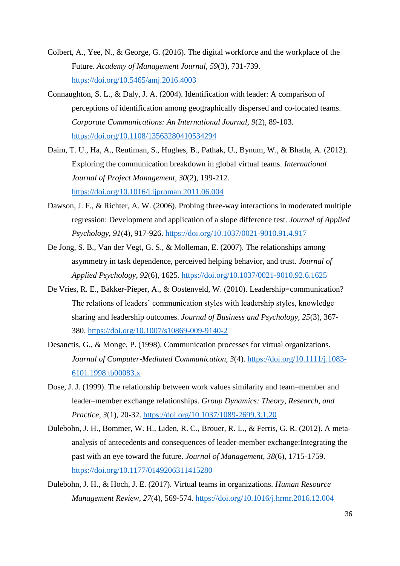- Colbert, A., Yee, N., & George, G. (2016). The digital workforce and the workplace of the Future. *Academy of Management Journal, 59*(3), 731-739. <https://doi.org/10.5465/amj.2016.4003>
- Connaughton, S. L., & Daly, J. A. (2004). Identification with leader: A comparison of perceptions of identification among geographically dispersed and co-located teams. *Corporate Communications: An International Journal, 9*(2), 89-103. <https://doi.org/10.1108/13563280410534294>
- Daim, T. U., Ha, A., Reutiman, S., Hughes, B., Pathak, U., Bynum, W., & Bhatla, A. (2012). Exploring the communication breakdown in global virtual teams. *International Journal of Project Management, 30*(2), 199-212. https://doi.org/10.1016/j.ijproman.2011.06.004
- Dawson, J. F., & Richter, A. W. (2006). Probing three-way interactions in moderated multiple regression: Development and application of a slope difference test. *Journal of Applied Psychology, 91*(4), 917-926. https://doi.org/10.1037/0021-9010.91.4.917
- De Jong, S. B., Van der Vegt, G. S., & Molleman, E. (2007). The relationships among asymmetry in task dependence, perceived helping behavior, and trust. *Journal of Applied Psychology, 92*(6), 1625. https://doi.org/10.1037/0021-9010.92.6.1625
- De Vries, R. E., Bakker-Pieper, A., & Oostenveld, W. (2010). Leadership=communication? The relations of leaders' communication styles with leadership styles, knowledge sharing and leadership outcomes. *Journal of Business and Psychology, 25*(3), 367- 380. https://doi.org/10.1007/s10869-009-9140-2
- Desanctis, G., & Monge, P. (1998). Communication processes for virtual organizations. *Journal of Computer*‐*Mediated Communication, 3*(4). https://doi.org/10.1111/j.1083- 6101.1998.tb00083.x
- Dose, J. J. (1999). The relationship between work values similarity and team–member and leader–member exchange relationships. *Group Dynamics: Theory, Research, and Practice, 3*(1), 20-32. https://doi.org/10.1037/1089-2699.3.1.20
- Dulebohn, J. H., Bommer, W. H., Liden, R. C., Brouer, R. L., & Ferris, G. R. (2012). A metaanalysis of antecedents and consequences of leader-member exchange:Integrating the past with an eye toward the future. *Journal of Management, 38*(6), 1715-1759. <https://doi.org/10.1177/0149206311415280>
- Dulebohn, J. H., & Hoch, J. E. (2017). Virtual teams in organizations. *Human Resource Management Review, 27*(4), 569-574. https://doi.org/10.1016/j.hrmr.2016.12.004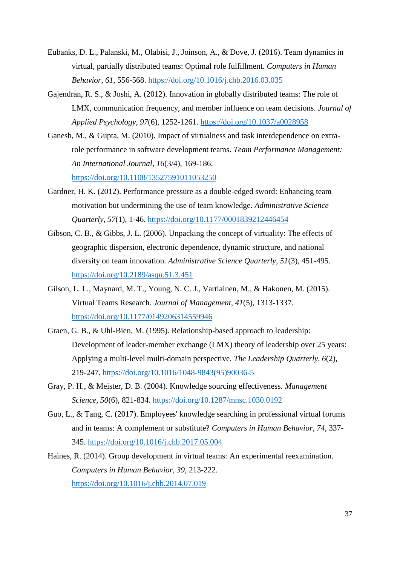- Eubanks, D. L., Palanski, M., Olabisi, J., Joinson, A., & Dove, J. (2016). Team dynamics in virtual, partially distributed teams: Optimal role fulfillment. *Computers in Human Behavior, 61*, 556-568. https://doi.org/10.1016/j.chb.2016.03.035
- Gajendran, R. S., & Joshi, A. (2012). Innovation in globally distributed teams: The role of LMX, communication frequency, and member influence on team decisions. *Journal of Applied Psychology, 97*(6), 1252-1261.<https://doi.org/10.1037/a0028958>
- Ganesh, M., & Gupta, M. (2010). Impact of virtualness and task interdependence on extrarole performance in software development teams. *Team Performance Management: An International Journal, 16*(3/4), 169-186. https://doi.org/10.1108/13527591011053250
- Gardner, H. K. (2012). Performance pressure as a double-edged sword: Enhancing team motivation but undermining the use of team knowledge. *Administrative Science Quarterly, 57*(1), 1-46.<https://doi.org/10.1177/0001839212446454>
- Gibson, C. B., & Gibbs, J. L. (2006). Unpacking the concept of virtuality: The effects of geographic dispersion, electronic dependence, dynamic structure, and national diversity on team innovation. *Administrative Science Quarterly, 51*(3), 451-495. <https://doi.org/10.2189/asqu.51.3.451>
- Gilson, L. L., Maynard, M. T., Young, N. C. J., Vartiainen, M., & Hakonen, M. (2015). Virtual Teams Research. *Journal of Management, 41*(5), 1313-1337. <https://doi.org/10.1177/0149206314559946>
- Graen, G. B., & Uhl-Bien, M. (1995). Relationship-based approach to leadership: Development of leader-member exchange (LMX) theory of leadership over 25 years: Applying a multi-level multi-domain perspective. *The Leadership Quarterly, 6*(2), 219-247. https://doi.org/10.1016/1048-9843(95)90036-5
- Gray, P. H., & Meister, D. B. (2004). Knowledge sourcing effectiveness. *Management Science, 50*(6), 821-834. https://doi.org/10.1287/mnsc.1030.0192
- Guo, L., & Tang, C. (2017). Employees' knowledge searching in professional virtual forums and in teams: A complement or substitute? *Computers in Human Behavior, 74*, 337- 345. https://doi.org/10.1016/j.chb.2017.05.004
- Haines, R. (2014). Group development in virtual teams: An experimental reexamination. *Computers in Human Behavior, 39*, 213-222. https://doi.org/10.1016/j.chb.2014.07.019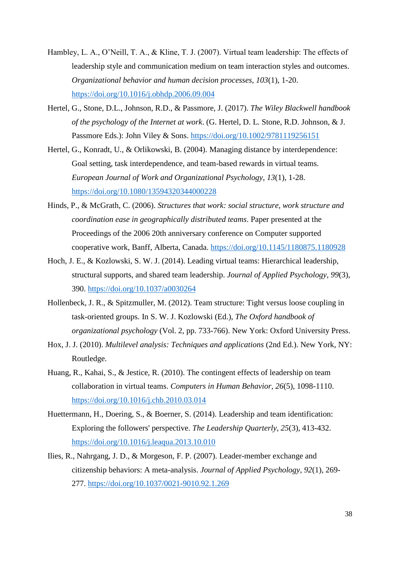- Hambley, L. A., O'Neill, T. A., & Kline, T. J. (2007). Virtual team leadership: The effects of leadership style and communication medium on team interaction styles and outcomes. *Organizational behavior and human decision processes, 103*(1), 1-20. https://doi.org/10.1016/j.obhdp.2006.09.004
- Hertel, G., Stone, D.L., Johnson, R.D., & Passmore, J. (2017). *The Wiley Blackwell handbook of the psychology of the Internet at work*. (G. Hertel, D. L. Stone, R.D. Johnson, & J. Passmore Eds.): John Viley & Sons.<https://doi.org/10.1002/9781119256151>
- Hertel, G., Konradt, U., & Orlikowski, B. (2004). Managing distance by interdependence: Goal setting, task interdependence, and team-based rewards in virtual teams. *European Journal of Work and Organizational Psychology, 13*(1), 1-28. https://doi.org/10.1080/13594320344000228
- Hinds, P., & McGrath, C. (2006). *Structures that work: social structure, work structure and coordination ease in geographically distributed teams*. Paper presented at the Proceedings of the 2006 20th anniversary conference on Computer supported cooperative work, Banff, Alberta, Canada. https://doi.org/10.1145/1180875.1180928
- Hoch, J. E., & Kozlowski, S. W. J. (2014). Leading virtual teams: Hierarchical leadership, structural supports, and shared team leadership. *Journal of Applied Psychology, 99*(3), 390. https://doi.org/10.1037/a0030264
- Hollenbeck, J. R., & Spitzmuller, M. (2012). Team structure: Tight versus loose coupling in task-oriented groups. In S. W. J. Kozlowski (Ed.), *The Oxford handbook of organizational psychology* (Vol. 2, pp. 733-766). New York: Oxford University Press.
- Hox, J. J. (2010). *Multilevel analysis: Techniques and applications* (2nd Ed.). New York, NY: Routledge.
- Huang, R., Kahai, S., & Jestice, R. (2010). The contingent effects of leadership on team collaboration in virtual teams. *Computers in Human Behavior, 26*(5), 1098-1110. https://doi.org/10.1016/j.chb.2010.03.014
- Huettermann, H., Doering, S., & Boerner, S. (2014). Leadership and team identification: Exploring the followers' perspective. *The Leadership Quarterly, 25*(3), 413-432. https://doi.org/10.1016/j.leaqua.2013.10.010
- Ilies, R., Nahrgang, J. D., & Morgeson, F. P. (2007). Leader-member exchange and citizenship behaviors: A meta-analysis. *Journal of Applied Psychology, 92*(1), 269- 277.<https://doi.org/10.1037/0021-9010.92.1.269>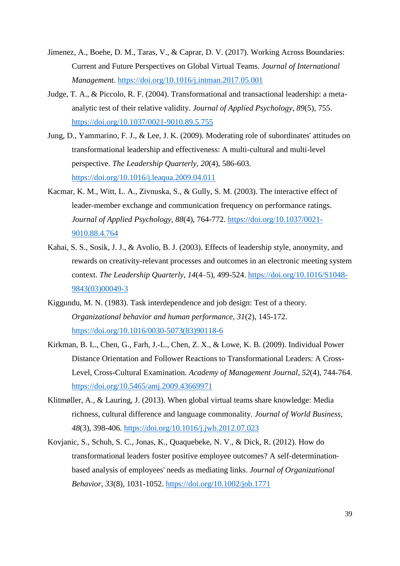- Jimenez, A., Boehe, D. M., Taras, V., & Caprar, D. V. (2017). Working Across Boundaries: Current and Future Perspectives on Global Virtual Teams. *Journal of International Management*. https://doi.org/10.1016/j.intman.2017.05.001
- Judge, T. A., & Piccolo, R. F. (2004). Transformational and transactional leadership: a metaanalytic test of their relative validity. *Journal of Applied Psychology, 89*(5), 755. https://doi.org/10.1037/0021-9010.89.5.755
- Jung, D., Yammarino, F. J., & Lee, J. K. (2009). Moderating role of subordinates' attitudes on transformational leadership and effectiveness: A multi-cultural and multi-level perspective. *The Leadership Quarterly, 20*(4), 586-603. https://doi.org/10.1016/j.leaqua.2009.04.011
- Kacmar, K. M., Witt, L. A., Zivnuska, S., & Gully, S. M. (2003). The interactive effect of leader-member exchange and communication frequency on performance ratings. *Journal of Applied Psychology, 88*(4), 764-772. [https://doi.org/10.1037/0021-](https://doi.org/10.1037/0021-9010.88.4.764) [9010.88.4.764](https://doi.org/10.1037/0021-9010.88.4.764)
- Kahai, S. S., Sosik, J. J., & Avolio, B. J. (2003). Effects of leadership style, anonymity, and rewards on creativity-relevant processes and outcomes in an electronic meeting system context. *The Leadership Quarterly, 14*(4–5), 499-524. https://doi.org/10.1016/S1048- 9843(03)00049-3
- Kiggundu, M. N. (1983). Task interdependence and job design: Test of a theory. *Organizational behavior and human performance, 31*(2), 145-172. https://doi.org/10.1016/0030-5073(83)90118-6
- Kirkman, B. L., Chen, G., Farh, J.-L., Chen, Z. X., & Lowe, K. B. (2009). Individual Power Distance Orientation and Follower Reactions to Transformational Leaders: A Cross-Level, Cross-Cultural Examination. *Academy of Management Journal, 52*(4), 744-764. <https://doi.org/10.5465/amj.2009.43669971>
- Klitmøller, A., & Lauring, J. (2013). When global virtual teams share knowledge: Media richness, cultural difference and language commonality. *Journal of World Business, 48*(3), 398-406. https://doi.org/10.1016/j.jwb.2012.07.023
- Kovjanic, S., Schuh, S. C., Jonas, K., Quaquebeke, N. V., & Dick, R. (2012). How do transformational leaders foster positive employee outcomes? A self‐determination‐ based analysis of employees' needs as mediating links. *Journal of Organizational Behavior, 33*(8), 1031-1052. https://doi.org/10.1002/job.1771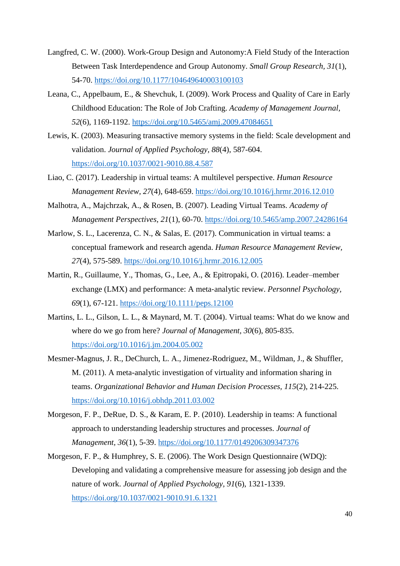- Langfred, C. W. (2000). Work-Group Design and Autonomy:A Field Study of the Interaction Between Task Interdependence and Group Autonomy. *Small Group Research, 31*(1), 54-70.<https://doi.org/10.1177/104649640003100103>
- Leana, C., Appelbaum, E., & Shevchuk, I. (2009). Work Process and Quality of Care in Early Childhood Education: The Role of Job Crafting. *Academy of Management Journal, 52*(6), 1169-1192.<https://doi.org/10.5465/amj.2009.47084651>
- Lewis, K. (2003). Measuring transactive memory systems in the field: Scale development and validation. *Journal of Applied Psychology, 88*(4), 587-604. <https://doi.org/10.1037/0021-9010.88.4.587>
- Liao, C. (2017). Leadership in virtual teams: A multilevel perspective. *Human Resource Management Review, 27*(4), 648-659. https://doi.org/10.1016/j.hrmr.2016.12.010
- Malhotra, A., Majchrzak, A., & Rosen, B. (2007). Leading Virtual Teams. *Academy of Management Perspectives, 21*(1), 60-70.<https://doi.org/10.5465/amp.2007.24286164>
- Marlow, S. L., Lacerenza, C. N., & Salas, E. (2017). Communication in virtual teams: a conceptual framework and research agenda. *Human Resource Management Review, 27*(4), 575-589. https://doi.org/10.1016/j.hrmr.2016.12.005
- Martin, R., Guillaume, Y., Thomas, G., Lee, A., & Epitropaki, O. (2016). Leader–member exchange (LMX) and performance: A meta‐analytic review. *Personnel Psychology, 69*(1), 67-121. https://doi.org/10.1111/peps.12100
- Martins, L. L., Gilson, L. L., & Maynard, M. T. (2004). Virtual teams: What do we know and where do we go from here? *Journal of Management, 30*(6), 805-835. https://doi.org/10.1016/j.jm.2004.05.002
- Mesmer-Magnus, J. R., DeChurch, L. A., Jimenez-Rodriguez, M., Wildman, J., & Shuffler, M. (2011). A meta-analytic investigation of virtuality and information sharing in teams. *Organizational Behavior and Human Decision Processes, 115*(2), 214-225. https://doi.org/10.1016/j.obhdp.2011.03.002
- Morgeson, F. P., DeRue, D. S., & Karam, E. P. (2010). Leadership in teams: A functional approach to understanding leadership structures and processes. *Journal of Management, 36*(1), 5-39.<https://doi.org/10.1177/0149206309347376>
- Morgeson, F. P., & Humphrey, S. E. (2006). The Work Design Questionnaire (WDQ): Developing and validating a comprehensive measure for assessing job design and the nature of work. *Journal of Applied Psychology, 91*(6), 1321-1339. <https://doi.org/10.1037/0021-9010.91.6.1321>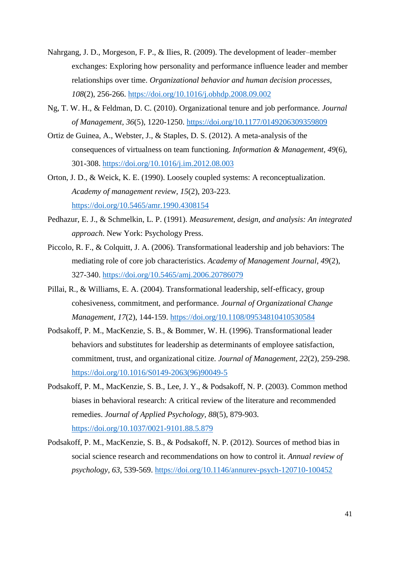- Nahrgang, J. D., Morgeson, F. P., & Ilies, R. (2009). The development of leader–member exchanges: Exploring how personality and performance influence leader and member relationships over time. *Organizational behavior and human decision processes, 108*(2), 256-266.<https://doi.org/10.1016/j.obhdp.2008.09.002>
- Ng, T. W. H., & Feldman, D. C. (2010). Organizational tenure and job performance. *Journal of Management, 36*(5), 1220-1250.<https://doi.org/10.1177/0149206309359809>
- Ortiz de Guinea, A., Webster, J., & Staples, D. S. (2012). A meta-analysis of the consequences of virtualness on team functioning. *Information & Management, 49*(6), 301-308. https://doi.org/10.1016/j.im.2012.08.003
- Orton, J. D., & Weick, K. E. (1990). Loosely coupled systems: A reconceptualization. *Academy of management review, 15*(2), 203-223. https://doi.org/10.5465/amr.1990.4308154
- Pedhazur, E. J., & Schmelkin, L. P. (1991). *Measurement, design, and analysis: An integrated approach*. New York: Psychology Press.
- Piccolo, R. F., & Colquitt, J. A. (2006). Transformational leadership and job behaviors: The mediating role of core job characteristics. *Academy of Management Journal, 49*(2), 327-340. https://doi.org/10.5465/amj.2006.20786079
- Pillai, R., & Williams, E. A. (2004). Transformational leadership, self‐efficacy, group cohesiveness, commitment, and performance. *Journal of Organizational Change Management, 17*(2), 144-159.<https://doi.org/10.1108/09534810410530584>
- Podsakoff, P. M., MacKenzie, S. B., & Bommer, W. H. (1996). Transformational leader behaviors and substitutes for leadership as determinants of employee satisfaction, commitment, trust, and organizational citize. *Journal of Management, 22*(2), 259-298. https://doi.org/10.1016/S0149-2063(96)90049-5
- Podsakoff, P. M., MacKenzie, S. B., Lee, J. Y., & Podsakoff, N. P. (2003). Common method biases in behavioral research: A critical review of the literature and recommended remedies. *Journal of Applied Psychology, 88*(5), 879-903. <https://doi.org/10.1037/0021-9101.88.5.879>
- Podsakoff, P. M., MacKenzie, S. B., & Podsakoff, N. P. (2012). Sources of method bias in social science research and recommendations on how to control it. *Annual review of psychology, 63*, 539-569. https://doi.org/10.1146/annurev-psych-120710-100452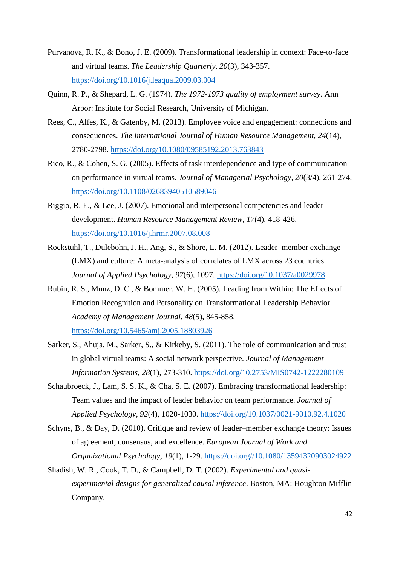- Purvanova, R. K., & Bono, J. E. (2009). Transformational leadership in context: Face-to-face and virtual teams. *The Leadership Quarterly, 20*(3), 343-357. https://doi.org/10.1016/j.leaqua.2009.03.004
- Quinn, R. P., & Shepard, L. G. (1974). *The 1972-1973 quality of employment survey*. Ann Arbor: Institute for Social Research, University of Michigan.
- Rees, C., Alfes, K., & Gatenby, M. (2013). Employee voice and engagement: connections and consequences. *The International Journal of Human Resource Management, 24*(14), 2780-2798. https://doi.org/10.1080/09585192.2013.763843
- Rico, R., & Cohen, S. G. (2005). Effects of task interdependence and type of communication on performance in virtual teams. *Journal of Managerial Psychology, 20*(3/4), 261-274. https://doi.org/10.1108/02683940510589046
- Riggio, R. E., & Lee, J. (2007). Emotional and interpersonal competencies and leader development. *Human Resource Management Review, 17*(4), 418-426. https://doi.org/10.1016/j.hrmr.2007.08.008
- Rockstuhl, T., Dulebohn, J. H., Ang, S., & Shore, L. M. (2012). Leader–member exchange (LMX) and culture: A meta-analysis of correlates of LMX across 23 countries. *Journal of Applied Psychology, 97*(6), 1097. https://doi.org/10.1037/a0029978
- Rubin, R. S., Munz, D. C., & Bommer, W. H. (2005). Leading from Within: The Effects of Emotion Recognition and Personality on Transformational Leadership Behavior. *Academy of Management Journal, 48*(5), 845-858. <https://doi.org/10.5465/amj.2005.18803926>
- Sarker, S., Ahuja, M., Sarker, S., & Kirkeby, S. (2011). The role of communication and trust in global virtual teams: A social network perspective. *Journal of Management Information Systems, 28*(1), 273-310.<https://doi.org/10.2753/MIS0742-1222280109>
- Schaubroeck, J., Lam, S. S. K., & Cha, S. E. (2007). Embracing transformational leadership: Team values and the impact of leader behavior on team performance. *Journal of Applied Psychology, 92*(4), 1020-1030.<https://doi.org/10.1037/0021-9010.92.4.1020>
- Schyns, B., & Day, D. (2010). Critique and review of leader–member exchange theory: Issues of agreement, consensus, and excellence. *European Journal of Work and Organizational Psychology, 19*(1), 1-29. https://doi.org//10.1080/13594320903024922
- Shadish, W. R., Cook, T. D., & Campbell, D. T. (2002). *Experimental and quasiexperimental designs for generalized causal inference*. Boston, MA: Houghton Mifflin Company.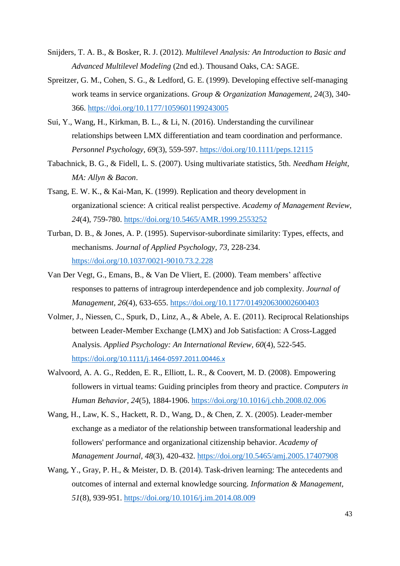- Snijders, T. A. B., & Bosker, R. J. (2012). *Multilevel Analysis: An Introduction to Basic and Advanced Multilevel Modeling* (2nd ed.). Thousand Oaks, CA: SAGE.
- Spreitzer, G. M., Cohen, S. G., & Ledford, G. E. (1999). Developing effective self-managing work teams in service organizations. *Group & Organization Management, 24*(3), 340- 366. https://doi.org/10.1177/1059601199243005
- Sui, Y., Wang, H., Kirkman, B. L., & Li, N. (2016). Understanding the curvilinear relationships between LMX differentiation and team coordination and performance. *Personnel Psychology, 69*(3), 559-597.<https://doi.org/10.1111/peps.12115>
- Tabachnick, B. G., & Fidell, L. S. (2007). Using multivariate statistics, 5th. *Needham Height, MA: Allyn & Bacon*.
- Tsang, E. W. K., & Kai-Man, K. (1999). Replication and theory development in organizational science: A critical realist perspective. *Academy of Management Review, 24*(4), 759-780.<https://doi.org/10.5465/AMR.1999.2553252>
- Turban, D. B., & Jones, A. P. (1995). Supervisor-subordinate similarity: Types, effects, and mechanisms. *Journal of Applied Psychology, 73*, 228-234. https://doi.org/10.1037/0021-9010.73.2.228
- Van Der Vegt, G., Emans, B., & Van De Vliert, E. (2000). Team members' affective responses to patterns of intragroup interdependence and job complexity. *Journal of Management, 26*(4), 633-655.<https://doi.org/10.1177/014920630002600403>
- Volmer, J., Niessen, C., Spurk, D., Linz, A., & Abele, A. E. (2011). Reciprocal Relationships between Leader-Member Exchange (LMX) and Job Satisfaction: A Cross-Lagged Analysis. *Applied Psychology: An International Review, 60*(4), 522-545. https://doi.org/[10.1111/j.1464-0597.2011.00446.x](https://doi.org/10.1111/j.1464-0597.2011.00446.x)
- Walvoord, A. A. G., Redden, E. R., Elliott, L. R., & Coovert, M. D. (2008). Empowering followers in virtual teams: Guiding principles from theory and practice. *Computers in Human Behavior, 24*(5), 1884-1906. https://doi.org/10.1016/j.chb.2008.02.006
- Wang, H., Law, K. S., Hackett, R. D., Wang, D., & Chen, Z. X. (2005). Leader-member exchange as a mediator of the relationship between transformational leadership and followers' performance and organizational citizenship behavior. *Academy of Management Journal, 48*(3), 420-432.<https://doi.org/10.5465/amj.2005.17407908>
- Wang, Y., Gray, P. H., & Meister, D. B. (2014). Task-driven learning: The antecedents and outcomes of internal and external knowledge sourcing. *Information & Management, 51*(8), 939-951. https://doi.org/10.1016/j.im.2014.08.009